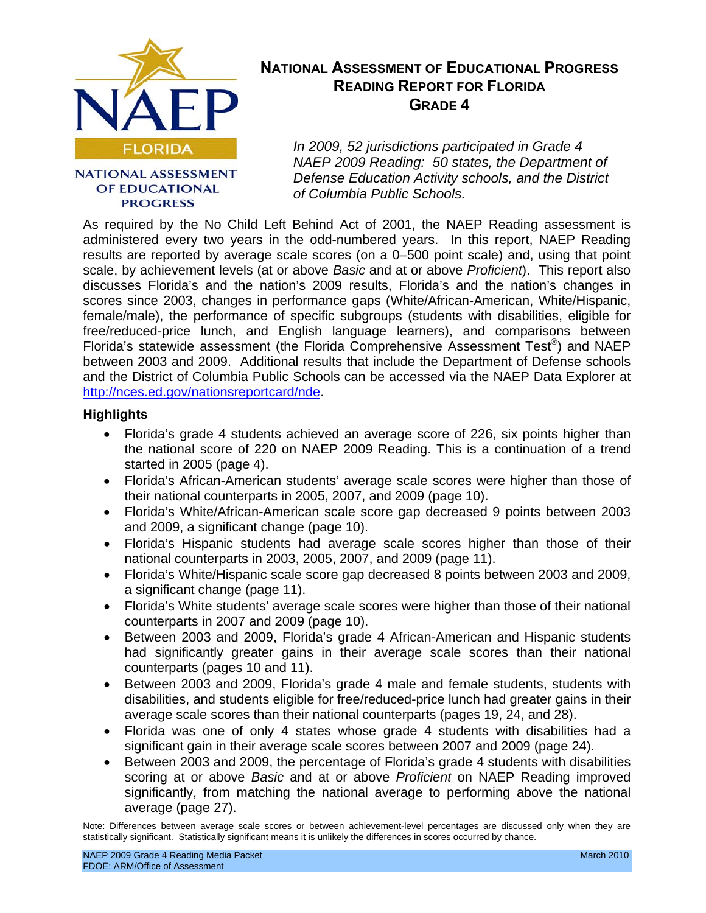

#### **NATIONAL ASSESSMENT** OF EDUCATIONAL **PROGRESS**

## **NATIONAL ASSESSMENT OF EDUCATIONAL PROGRESS READING REPORT FOR FLORIDA GRADE 4**

*In 2009, 52 jurisdictions participated in Grade 4 NAEP 2009 Reading: 50 states, the Department of Defense Education Activity schools, and the District of Columbia Public Schools.* 

As required by the No Child Left Behind Act of 2001, the NAEP Reading assessment is administered every two years in the odd-numbered years. In this report, NAEP Reading results are reported by average scale scores (on a 0–500 point scale) and, using that point scale, by achievement levels (at or above *Basic* and at or above *Proficient*). This report also discusses Florida's and the nation's 2009 results, Florida's and the nation's changes in scores since 2003, changes in performance gaps (White/African-American, White/Hispanic, female/male), the performance of specific subgroups (students with disabilities, eligible for free/reduced-price lunch, and English language learners), and comparisons between Florida's statewide assessment (the Florida Comprehensive Assessment Test®) and NAEP between 2003 and 2009. Additional results that include the Department of Defense schools and the District of Columbia Public Schools can be accessed via the NAEP Data Explorer at [http://nces.ed.gov/nationsreportcard/nde.](http://nces.ed.gov/nationsreportcard/nde) 

#### **Highlights**

- Florida's grade 4 students achieved an average score of 226, six points higher than the national score of 220 on NAEP 2009 Reading. This is a continuation of a trend started in 2005 (page 4).
- Florida's African-American students' average scale scores were higher than those of their national counterparts in 2005, 2007, and 2009 (page 10).
- Florida's White/African-American scale score gap decreased 9 points between 2003 and 2009, a significant change (page 10).
- Florida's Hispanic students had average scale scores higher than those of their national counterparts in 2003, 2005, 2007, and 2009 (page 11).
- Florida's White/Hispanic scale score gap decreased 8 points between 2003 and 2009, a significant change (page 11).
- Florida's White students' average scale scores were higher than those of their national counterparts in 2007 and 2009 (page 10).
- Between 2003 and 2009, Florida's grade 4 African-American and Hispanic students had significantly greater gains in their average scale scores than their national counterparts (pages 10 and 11).
- Between 2003 and 2009, Florida's grade 4 male and female students, students with disabilities, and students eligible for free/reduced-price lunch had greater gains in their average scale scores than their national counterparts (pages 19, 24, and 28).
- Florida was one of only 4 states whose grade 4 students with disabilities had a significant gain in their average scale scores between 2007 and 2009 (page 24).
- Between 2003 and 2009, the percentage of Florida's grade 4 students with disabilities scoring at or above *Basic* and at or above *Proficient* on NAEP Reading improved significantly, from matching the national average to performing above the national average (page 27).

Note: Differences between average scale scores or between achievement-level percentages are discussed only when they are statistically significant. Statistically significant means it is unlikely the differences in scores occurred by chance.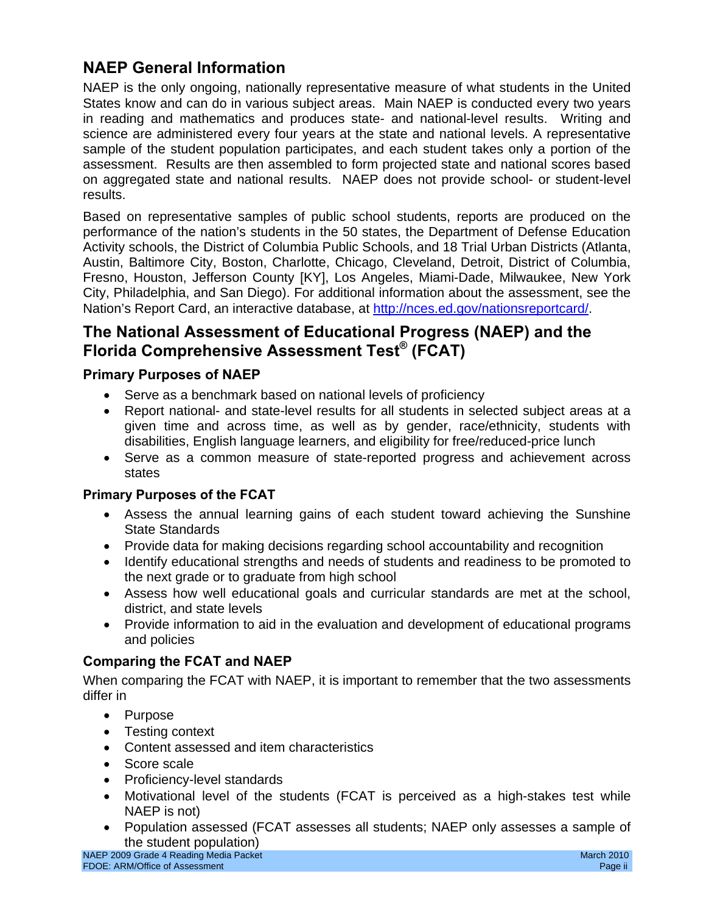## **NAEP General Information**

NAEP is the only ongoing, nationally representative measure of what students in the United States know and can do in various subject areas. Main NAEP is conducted every two years in reading and mathematics and produces state- and national-level results. Writing and science are administered every four years at the state and national levels. A representative sample of the student population participates, and each student takes only a portion of the assessment. Results are then assembled to form projected state and national scores based on aggregated state and national results. NAEP does not provide school- or student-level results.

Based on representative samples of public school students, reports are produced on the performance of the nation's students in the 50 states, the Department of Defense Education Activity schools, the District of Columbia Public Schools, and 18 Trial Urban Districts (Atlanta, Austin, Baltimore City, Boston, Charlotte, Chicago, Cleveland, Detroit, District of Columbia, Fresno, Houston, Jefferson County [KY], Los Angeles, Miami-Dade, Milwaukee, New York City, Philadelphia, and San Diego). For additional information about the assessment, see the Nation's Report Card, an interactive database, at [http://nces.ed.gov/nationsreportcard/.](http://nces.ed.gov/nationsreportcard/) 

## **The National Assessment of Educational Progress (NAEP) and the Florida Comprehensive Assessment Test® (FCAT)**

## **Primary Purposes of NAEP**

- Serve as a benchmark based on national levels of proficiency
- Report national- and state-level results for all students in selected subject areas at a given time and across time, as well as by gender, race/ethnicity, students with disabilities, English language learners, and eligibility for free/reduced-price lunch
- Serve as a common measure of state-reported progress and achievement across states

### **Primary Purposes of the FCAT**

- Assess the annual learning gains of each student toward achieving the Sunshine State Standards
- Provide data for making decisions regarding school accountability and recognition
- Identify educational strengths and needs of students and readiness to be promoted to the next grade or to graduate from high school
- • Assess how well educational goals and curricular standards are met at the school, district, and state levels
- Provide information to aid in the evaluation and development of educational programs and policies

### **Comparing the FCAT and NAEP**

When comparing the FCAT with NAEP, it is important to remember that the two assessments differ in

- Purpose
- Testing context
- Content assessed and item characteristics
- Score scale
- Proficiency-level standards
- Motivational level of the students (FCAT is perceived as a high-stakes test while NAEP is not)
- Population assessed (FCAT assesses all students; NAEP only assesses a sample of the student population)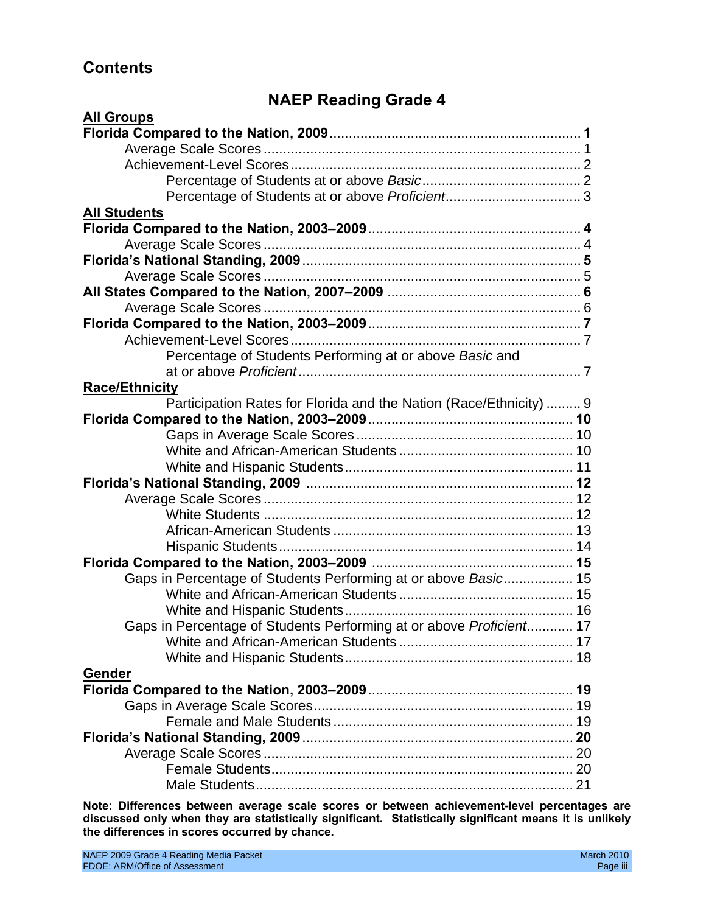## **Contents**

## **NAEP Reading Grade 4**

| <b>All Groups</b>                                                   |
|---------------------------------------------------------------------|
|                                                                     |
|                                                                     |
|                                                                     |
|                                                                     |
|                                                                     |
| <b>All Students</b>                                                 |
|                                                                     |
|                                                                     |
|                                                                     |
|                                                                     |
|                                                                     |
|                                                                     |
|                                                                     |
|                                                                     |
| Percentage of Students Performing at or above Basic and             |
|                                                                     |
| <b>Race/Ethnicity</b>                                               |
| Participation Rates for Florida and the Nation (Race/Ethnicity)  9  |
|                                                                     |
|                                                                     |
|                                                                     |
|                                                                     |
|                                                                     |
|                                                                     |
|                                                                     |
|                                                                     |
|                                                                     |
|                                                                     |
| Gaps in Percentage of Students Performing at or above Basic 15      |
|                                                                     |
|                                                                     |
| Gaps in Percentage of Students Performing at or above Proficient 17 |
|                                                                     |
|                                                                     |
| Gender                                                              |
|                                                                     |
|                                                                     |
|                                                                     |
|                                                                     |
|                                                                     |
|                                                                     |
|                                                                     |

**Note: Differences between average scale scores or between achievement-level percentages are discussed only when they are statistically significant. Statistically significant means it is unlikely the differences in scores occurred by chance.**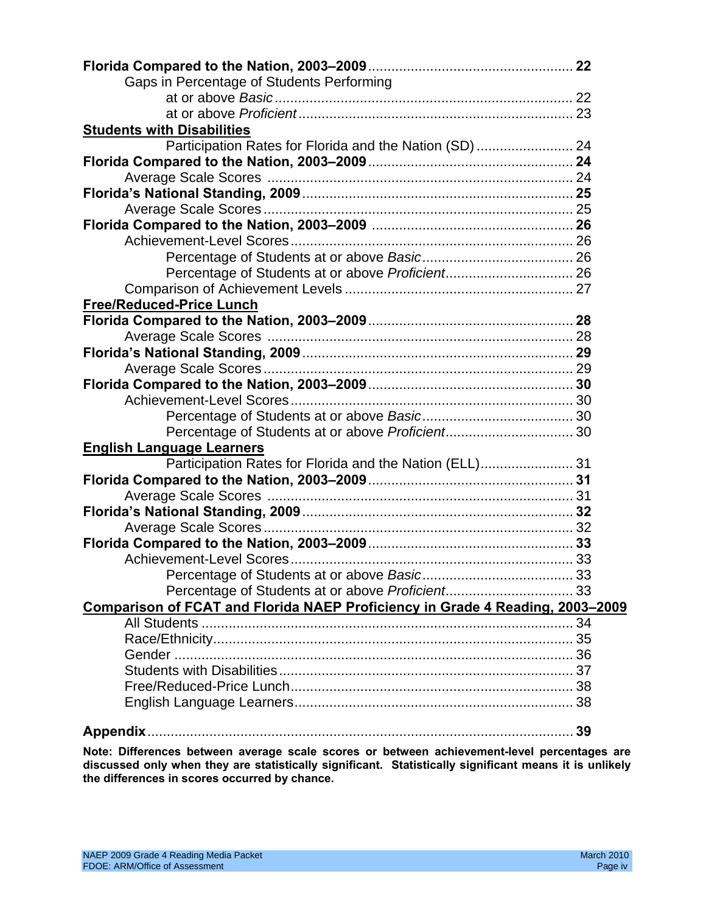| Gaps in Percentage of Students Performing                                     |  |
|-------------------------------------------------------------------------------|--|
|                                                                               |  |
|                                                                               |  |
| <b>Students with Disabilities</b>                                             |  |
| Participation Rates for Florida and the Nation (SD)  24                       |  |
|                                                                               |  |
|                                                                               |  |
|                                                                               |  |
|                                                                               |  |
|                                                                               |  |
|                                                                               |  |
|                                                                               |  |
| Percentage of Students at or above Proficient 26                              |  |
|                                                                               |  |
| <b>Free/Reduced-Price Lunch</b>                                               |  |
|                                                                               |  |
|                                                                               |  |
|                                                                               |  |
|                                                                               |  |
|                                                                               |  |
|                                                                               |  |
|                                                                               |  |
|                                                                               |  |
| <b>English Language Learners</b>                                              |  |
| Participation Rates for Florida and the Nation (ELL) 31                       |  |
|                                                                               |  |
|                                                                               |  |
|                                                                               |  |
|                                                                               |  |
|                                                                               |  |
|                                                                               |  |
|                                                                               |  |
|                                                                               |  |
| Comparison of FCAT and Florida NAEP Proficiency in Grade 4 Reading, 2003-2009 |  |
|                                                                               |  |
|                                                                               |  |
|                                                                               |  |
|                                                                               |  |
|                                                                               |  |
|                                                                               |  |
|                                                                               |  |

**Note: Differences between average scale scores or between achievement-level percentages are discussed only when they are statistically significant. Statistically significant means it is unlikely the differences in scores occurred by chance.**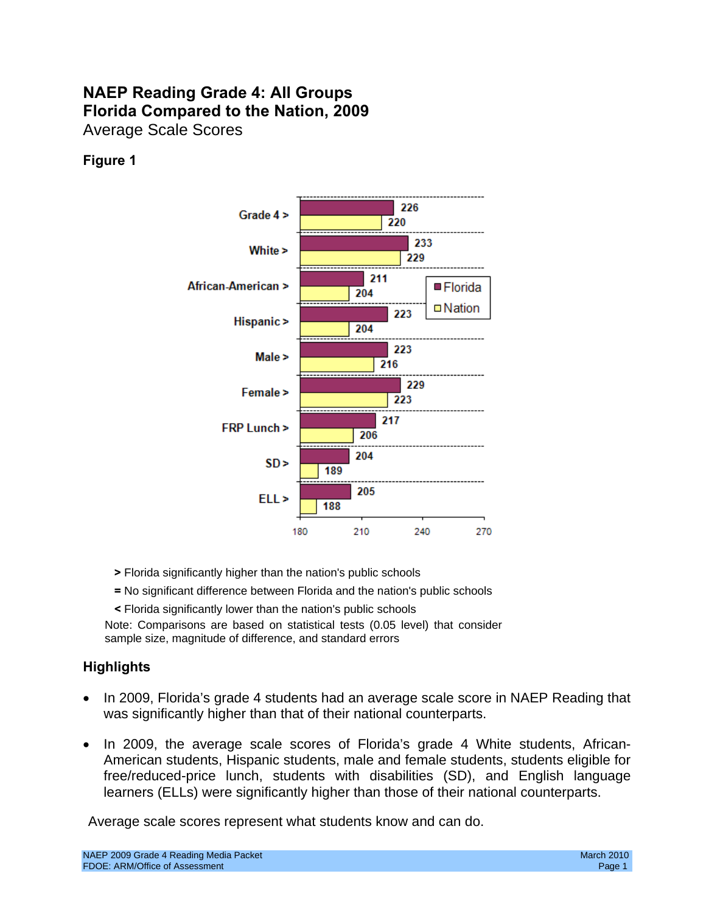## **NAEP Reading Grade 4: All Groups Florida Compared to the Nation, 2009**  Average Scale Scores

## **Figure 1**



- **>** Florida significantly higher than the nation's public schools
- **=** No significant difference between Florida and the nation's public schools
- **<** Florida significantly lower than the nation's public schools

Note: Comparisons are based on statistical tests (0.05 level) that consider sample size, magnitude of difference, and standard errors

### **Highlights**

- In 2009, Florida's grade 4 students had an average scale score in NAEP Reading that was significantly higher than that of their national counterparts.
- In 2009, the average scale scores of Florida's grade 4 White students, African-American students, Hispanic students, male and female students, students eligible for free/reduced-price lunch, students with disabilities (SD), and English language learners (ELLs) were significantly higher than those of their national counterparts.

Average scale scores represent what students know and can do.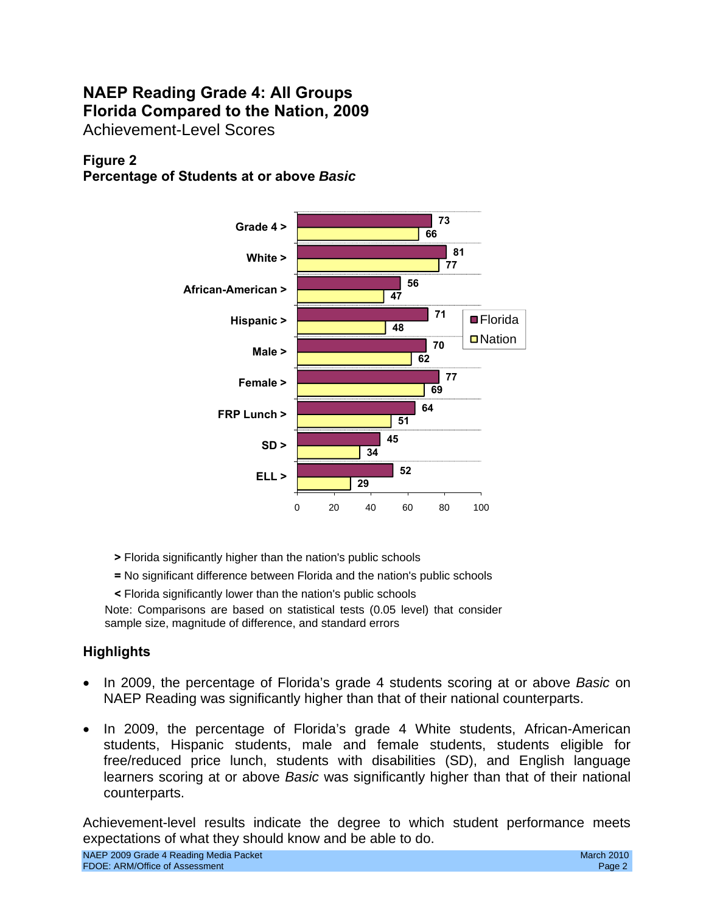## **NAEP Reading Grade 4: All Groups Florida Compared to the Nation, 2009**  Achievement-Level Scores

## **Figure 2**

## **Percentage of Students at or above** *Basic*



- **>** Florida significantly higher than the nation's public schools
- **=** No significant difference between Florida and the nation's public schools
- **<** Florida significantly lower than the nation's public schools

Note: Comparisons are based on statistical tests (0.05 level) that consider sample size, magnitude of difference, and standard errors

## **Highlights**

- In 2009, the percentage of Florida's grade 4 students scoring at or above *Basic* on NAEP Reading was significantly higher than that of their national counterparts.
- In 2009, the percentage of Florida's grade 4 White students, African-American students, Hispanic students, male and female students, students eligible for free/reduced price lunch, students with disabilities (SD), and English language learners scoring at or above *Basic* was significantly higher than that of their national counterparts.

Achievement-level results indicate the degree to which student performance meets expectations of what they should know and be able to do.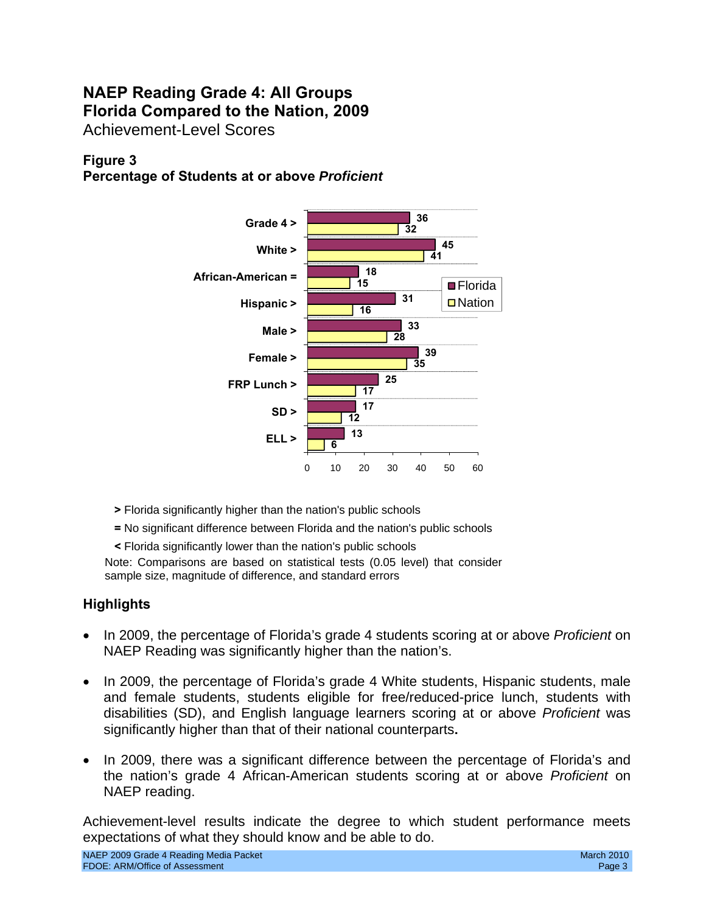## **NAEP Reading Grade 4: All Groups Florida Compared to the Nation, 2009**  Achievement-Level Scores

## **Figure 3**

**Percentage of Students at or above** *Proficient* 



- **>** Florida significantly higher than the nation's public schools
- **=** No significant difference between Florida and the nation's public schools
- **<** Florida significantly lower than the nation's public schools

Note: Comparisons are based on statistical tests (0.05 level) that consider sample size, magnitude of difference, and standard errors

### **Highlights**

- In 2009, the percentage of Florida's grade 4 students scoring at or above *Proficient* on NAEP Reading was significantly higher than the nation's.
- In 2009, the percentage of Florida's grade 4 White students, Hispanic students, male and female students, students eligible for free/reduced-price lunch, students with disabilities (SD), and English language learners scoring at or above *Proficient* was significantly higher than that of their national counterparts**.**
- In 2009, there was a significant difference between the percentage of Florida's and the nation's grade 4 African-American students scoring at or above *Proficient* on NAEP reading.

Achievement-level results indicate the degree to which student performance meets expectations of what they should know and be able to do.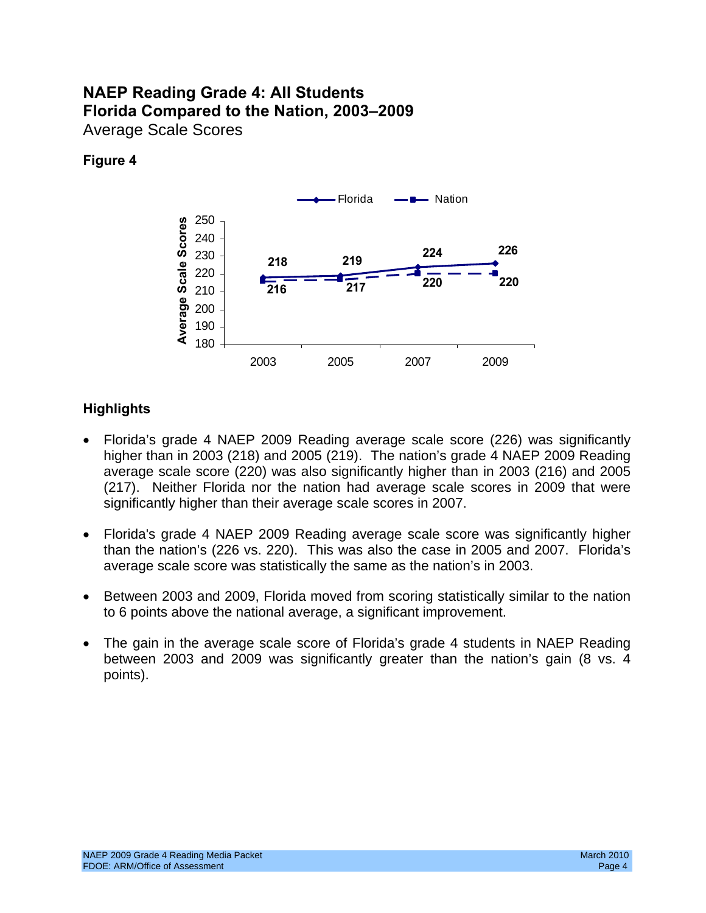## **NAEP Reading Grade 4: All Students Florida Compared to the Nation, 2003–2009**  Average Scale Scores

## **Figure 4**



- Florida's grade 4 NAEP 2009 Reading average scale score (226) was significantly higher than in 2003 (218) and 2005 (219). The nation's grade 4 NAEP 2009 Reading average scale score (220) was also significantly higher than in 2003 (216) and 2005 (217). Neither Florida nor the nation had average scale scores in 2009 that were significantly higher than their average scale scores in 2007.
- Florida's grade 4 NAEP 2009 Reading average scale score was significantly higher than the nation's (226 vs. 220). This was also the case in 2005 and 2007. Florida's average scale score was statistically the same as the nation's in 2003.
- Between 2003 and 2009, Florida moved from scoring statistically similar to the nation to 6 points above the national average, a significant improvement.
- The gain in the average scale score of Florida's grade 4 students in NAEP Reading between 2003 and 2009 was significantly greater than the nation's gain (8 vs. 4 points).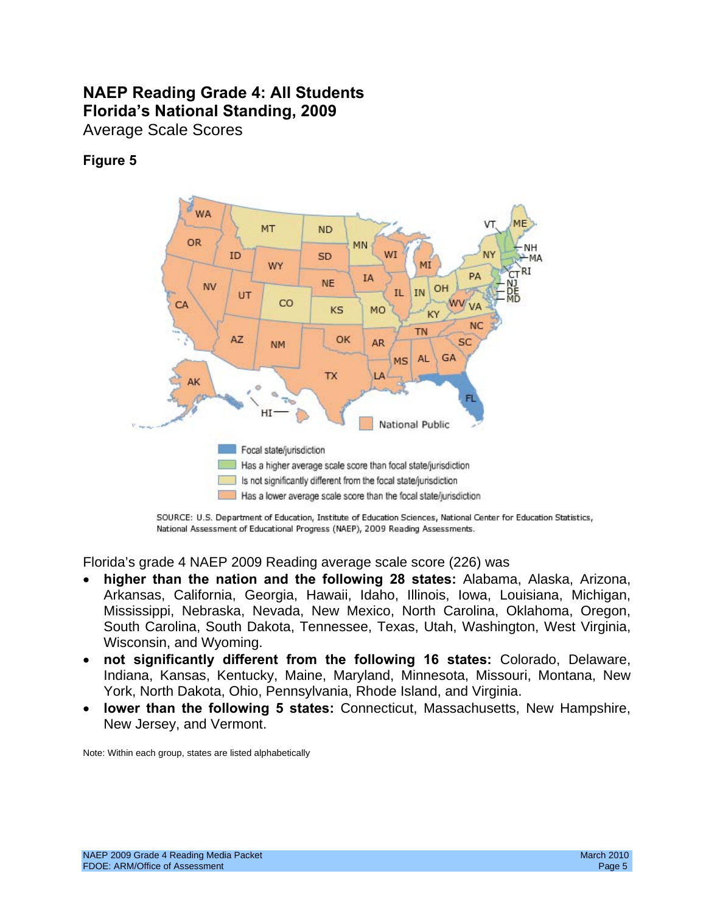## **NAEP Reading Grade 4: All Students Florida's National Standing, 2009**  Average Scale Scores

## **Figure 5**



SOURCE: U.S. Department of Education, Institute of Education Sciences, National Center for Education Statistics, National Assessment of Educational Progress (NAEP), 2009 Reading Assessments.

Florida's grade 4 NAEP 2009 Reading average scale score (226) was

- higher than the nation and the following 28 states: Alabama, Alaska, Arizona, Arkansas, California, Georgia, Hawaii, Idaho, Illinois, Iowa, Louisiana, Michigan, Mississippi, Nebraska, Nevada, New Mexico, North Carolina, Oklahoma, Oregon, South Carolina, South Dakota, Tennessee, Texas, Utah, Washington, West Virginia, Wisconsin, and Wyoming.
- • **not significantly different from the following 16 states:** Colorado, Delaware, Indiana, Kansas, Kentucky, Maine, Maryland, Minnesota, Missouri, Montana, New York, North Dakota, Ohio, Pennsylvania, Rhode Island, and Virginia.
- • **lower than the following 5 states:** Connecticut, Massachusetts, New Hampshire, New Jersey, and Vermont.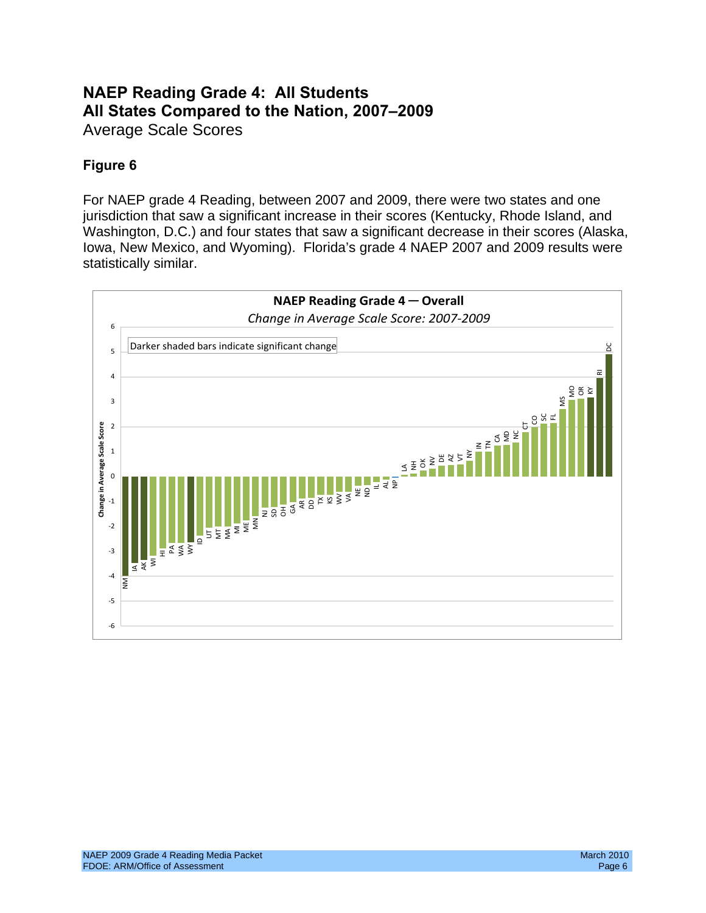## **NAEP Reading Grade 4: All Students All States Compared to the Nation, 2007–2009**  Average Scale Scores

## **Figure 6**

For NAEP grade 4 Reading, between 2007 and 2009, there were two states and one jurisdiction that saw a significant increase in their scores (Kentucky, Rhode Island, and Washington, D.C.) and four states that saw a significant decrease in their scores (Alaska, Iowa, New Mexico, and Wyoming). Florida's grade 4 NAEP 2007 and 2009 results were statistically similar.

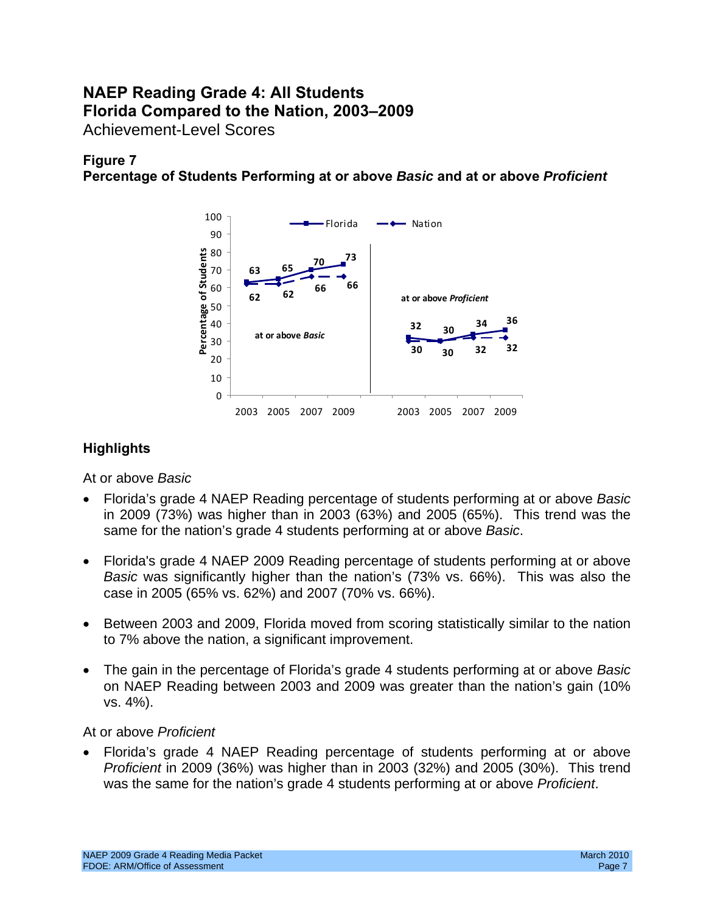## **NAEP Reading Grade 4: All Students Florida Compared to the Nation, 2003–2009**  Achievement-Level Scores

## **Figure 7**

**Percentage of Students Performing at or above** *Basic* **and at or above** *Proficient* 



## **Highlights**

At or above *Basic* 

- • Florida's grade 4 NAEP Reading percentage of students performing at or above *Basic*  in 2009 (73%) was higher than in 2003 (63%) and 2005 (65%). This trend was the same for the nation's grade 4 students performing at or above *Basic*.
- Florida's grade 4 NAEP 2009 Reading percentage of students performing at or above *Basic* was significantly higher than the nation's (73% vs. 66%). This was also the case in 2005 (65% vs. 62%) and 2007 (70% vs. 66%).
- Between 2003 and 2009, Florida moved from scoring statistically similar to the nation to 7% above the nation, a significant improvement.
- • The gain in the percentage of Florida's grade 4 students performing at or above *Basic*  on NAEP Reading between 2003 and 2009 was greater than the nation's gain (10% vs. 4%).

### At or above *Proficient*

Florida's grade 4 NAEP Reading percentage of students performing at or above *Proficient* in 2009 (36%) was higher than in 2003 (32%) and 2005 (30%). This trend was the same for the nation's grade 4 students performing at or above *Proficient*.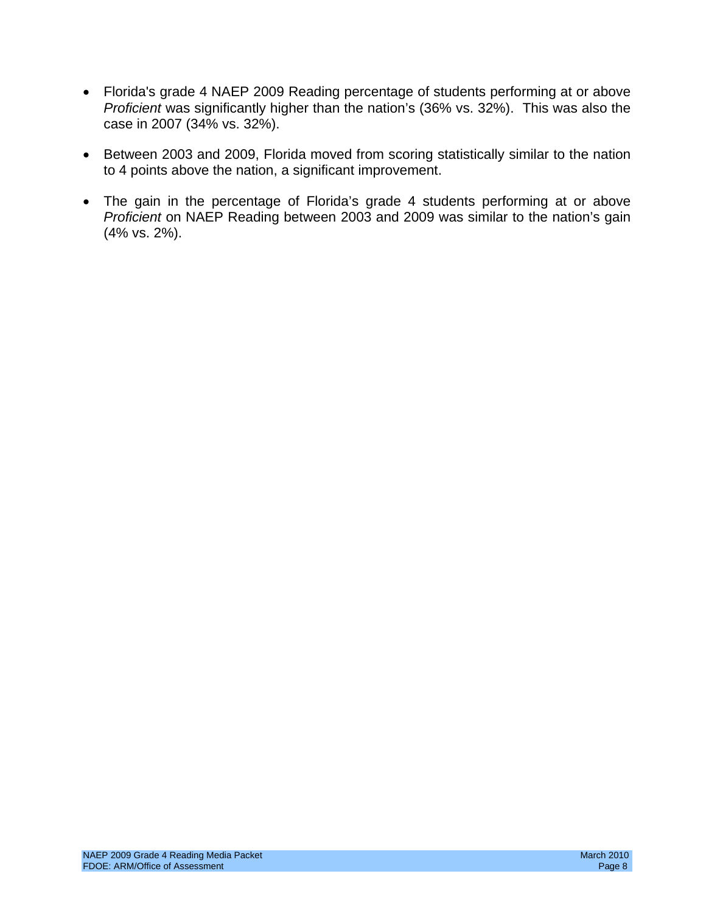- Florida's grade 4 NAEP 2009 Reading percentage of students performing at or above *Proficient* was significantly higher than the nation's (36% vs. 32%). This was also the case in 2007 (34% vs. 32%).
- Between 2003 and 2009, Florida moved from scoring statistically similar to the nation to 4 points above the nation, a significant improvement.
- The gain in the percentage of Florida's grade 4 students performing at or above *Proficient* on NAEP Reading between 2003 and 2009 was similar to the nation's gain (4% vs. 2%).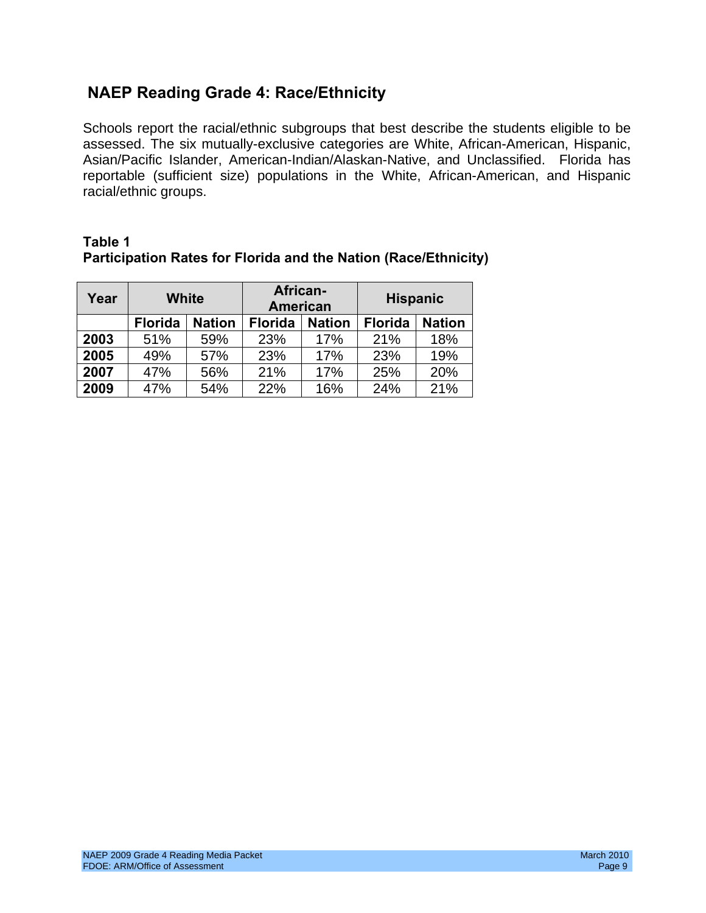## **NAEP Reading Grade 4: Race/Ethnicity**

Schools report the racial/ethnic subgroups that best describe the students eligible to be assessed. The six mutually-exclusive categories are White, African-American, Hispanic, Asian/Pacific Islander, American-Indian/Alaskan-Native, and Unclassified. Florida has reportable (sufficient size) populations in the White, African-American, and Hispanic racial/ethnic groups.

| Year | <b>White</b>                    |     | African-<br><b>American</b> |               | <b>Hispanic</b> |               |  |
|------|---------------------------------|-----|-----------------------------|---------------|-----------------|---------------|--|
|      | <b>Florida</b><br><b>Nation</b> |     | <b>Florida</b>              | <b>Nation</b> | <b>Florida</b>  | <b>Nation</b> |  |
| 2003 | 51%<br>59%                      |     | 23%                         | 17%           | 21%             | 18%           |  |
| 2005 | 49%                             | 57% | 23%                         | 17%           | 23%             | 19%           |  |
| 2007 | 47%                             | 56% | 21%                         | 17%           | 25%             | 20%           |  |
| 2009 | 47%                             | 54% | 22%                         | 16%           | 24%             | 21%           |  |

### **Table 1 Participation Rates for Florida and the Nation (Race/Ethnicity)**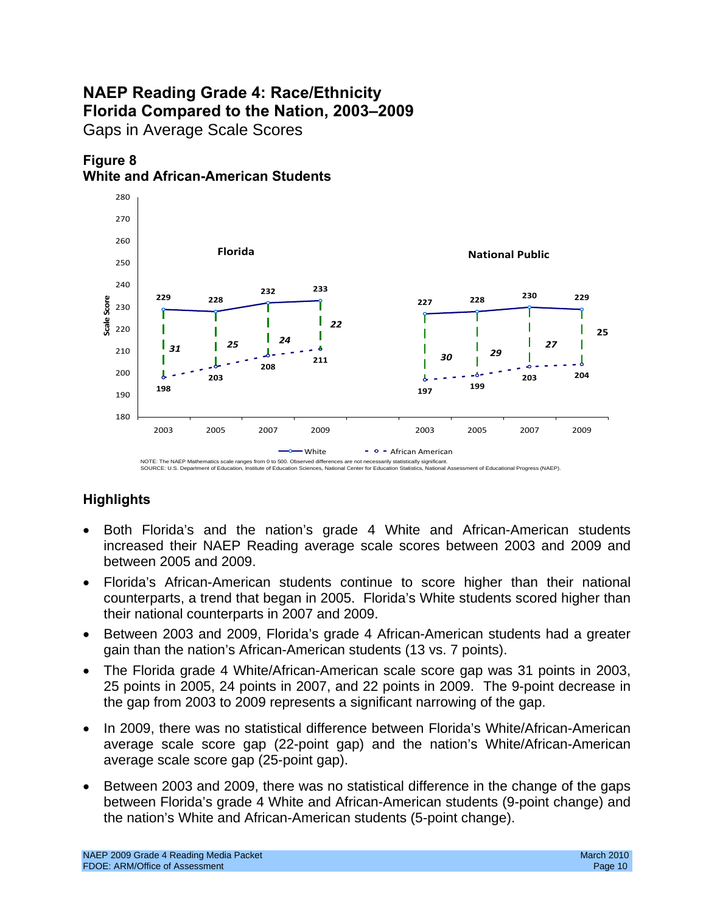## **NAEP Reading Grade 4: Race/Ethnicity Florida Compared to the Nation, 2003–2009**  Gaps in Average Scale Scores





### NOTE: The NAEP Mathematics scale ranges from 0 to 500. Observed differences are not necessarily statistically significant.<br>SOURCE: U.S. Department of Education, Institute of Education Sciences, National Center for Educatio

- Both Florida's and the nation's grade 4 White and African-American students increased their NAEP Reading average scale scores between 2003 and 2009 and between 2005 and 2009.
- Florida's African-American students continue to score higher than their national counterparts, a trend that began in 2005. Florida's White students scored higher than their national counterparts in 2007 and 2009.
- Between 2003 and 2009, Florida's grade 4 African-American students had a greater gain than the nation's African-American students (13 vs. 7 points).
- The Florida grade 4 White/African-American scale score gap was 31 points in 2003, 25 points in 2005, 24 points in 2007, and 22 points in 2009. The 9-point decrease in the gap from 2003 to 2009 represents a significant narrowing of the gap.
- In 2009, there was no statistical difference between Florida's White/African-American average scale score gap (22-point gap) and the nation's White/African-American average scale score gap (25-point gap).
- Between 2003 and 2009, there was no statistical difference in the change of the gaps between Florida's grade 4 White and African-American students (9-point change) and the nation's White and African-American students (5-point change).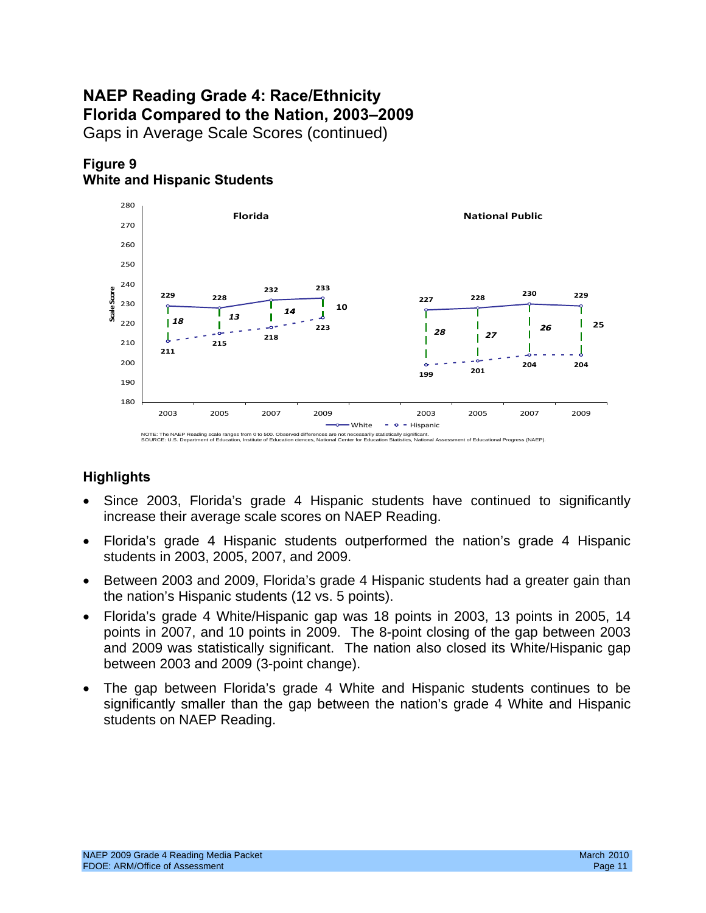# **NAEP Reading Grade 4: Race/Ethnicity Florida Compared to the Nation, 2003–2009**

Gaps in Average Scale Scores (continued)





- Since 2003, Florida's grade 4 Hispanic students have continued to significantly increase their average scale scores on NAEP Reading.
- Florida's grade 4 Hispanic students outperformed the nation's grade 4 Hispanic students in 2003, 2005, 2007, and 2009.
- Between 2003 and 2009, Florida's grade 4 Hispanic students had a greater gain than the nation's Hispanic students (12 vs. 5 points).
- Florida's grade 4 White/Hispanic gap was 18 points in 2003, 13 points in 2005, 14 points in 2007, and 10 points in 2009. The 8-point closing of the gap between 2003 and 2009 was statistically significant. The nation also closed its White/Hispanic gap between 2003 and 2009 (3-point change).
- The gap between Florida's grade 4 White and Hispanic students continues to be significantly smaller than the gap between the nation's grade 4 White and Hispanic students on NAEP Reading.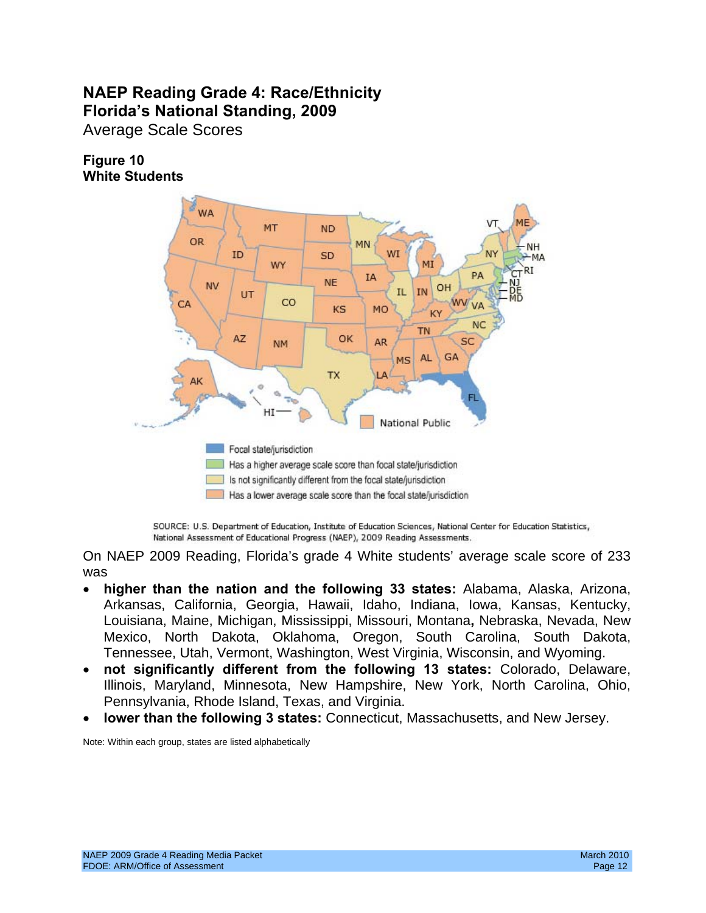## **NAEP Reading Grade 4: Race/Ethnicity Florida's National Standing, 2009**

Average Scale Scores

### **Figure 10 White Students**



SOURCE: U.S. Department of Education, Institute of Education Sciences, National Center for Education Statistics, National Assessment of Educational Progress (NAEP), 2009 Reading Assessments.

On NAEP 2009 Reading, Florida's grade 4 White students' average scale score of 233 was

- • **higher than the nation and the following 33 states:** Alabama, Alaska, Arizona, Arkansas, California, Georgia, Hawaii, Idaho, Indiana, Iowa, Kansas, Kentucky, Louisiana, Maine, Michigan, Mississippi, Missouri, Montana**,** Nebraska, Nevada, New Mexico, North Dakota, Oklahoma, Oregon, South Carolina, South Dakota, Tennessee, Utah, Vermont, Washington, West Virginia, Wisconsin, and Wyoming.
- not significantly different from the following 13 states: Colorado, Delaware, Illinois, Maryland, Minnesota, New Hampshire, New York, North Carolina, Ohio, Pennsylvania, Rhode Island, Texas, and Virginia.
- **lower than the following 3 states:** Connecticut, Massachusetts, and New Jersey.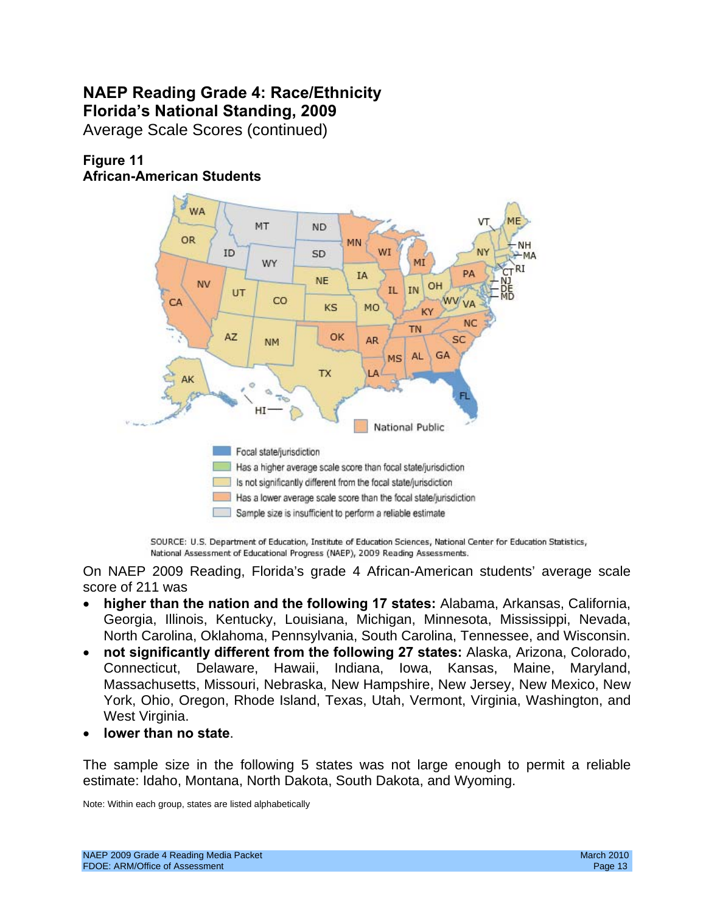## **NAEP Reading Grade 4: Race/Ethnicity Florida's National Standing, 2009**

Average Scale Scores (continued)





SOURCE: U.S. Department of Education, Institute of Education Sciences, National Center for Education Statistics, National Assessment of Educational Progress (NAEP), 2009 Reading Assessments.

On NAEP 2009 Reading, Florida's grade 4 African-American students' average scale score of 211 was

- • **higher than the nation and the following 17 states:** Alabama, Arkansas, California, Georgia, Illinois, Kentucky, Louisiana, Michigan, Minnesota, Mississippi, Nevada, North Carolina, Oklahoma, Pennsylvania, South Carolina, Tennessee, and Wisconsin.
- • **not significantly different from the following 27 states:** Alaska, Arizona, Colorado, Connecticut, Delaware, Hawaii, Indiana, Iowa, Kansas, Maine, Maryland, Massachusetts, Missouri, Nebraska, New Hampshire, New Jersey, New Mexico, New York, Ohio, Oregon, Rhode Island, Texas, Utah, Vermont, Virginia, Washington, and West Virginia.
- lower than no state.

The sample size in the following 5 states was not large enough to permit a reliable estimate: Idaho, Montana, North Dakota, South Dakota, and Wyoming.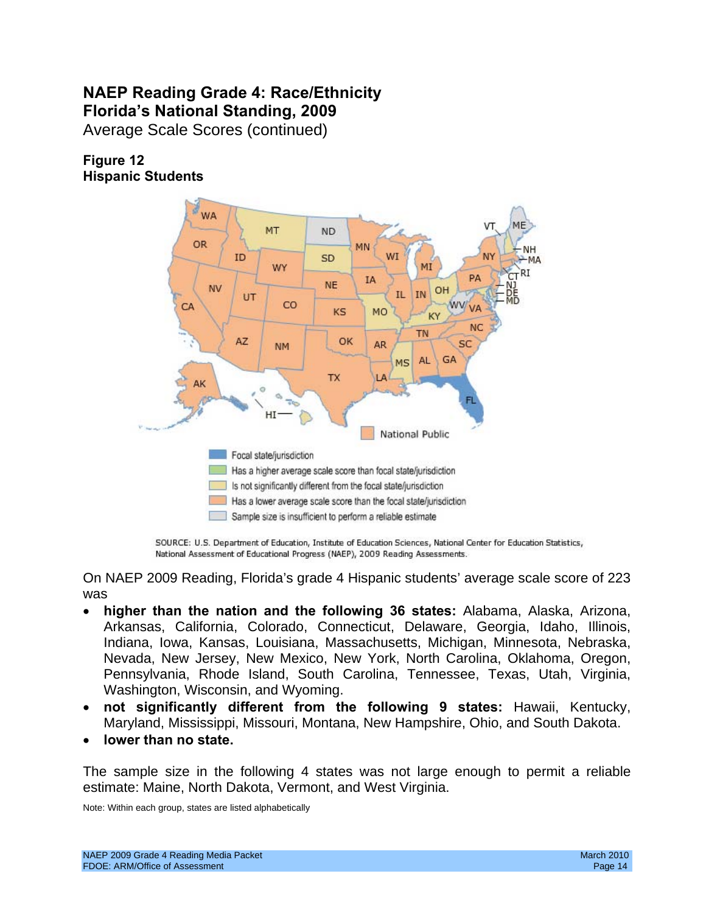## **NAEP Reading Grade 4: Race/Ethnicity Florida's National Standing, 2009**

Average Scale Scores (continued)

## **Figure 12 Hispanic Students**



SOURCE: U.S. Department of Education, Institute of Education Sciences, National Center for Education Statistics, National Assessment of Educational Progress (NAEP), 2009 Reading Assessments.

On NAEP 2009 Reading, Florida's grade 4 Hispanic students' average scale score of 223 was

- **higher than the nation and the following 36 states:** Alabama, Alaska, Arizona, Arkansas, California, Colorado, Connecticut, Delaware, Georgia, Idaho, Illinois, Indiana, Iowa, Kansas, Louisiana, Massachusetts, Michigan, Minnesota, Nebraska, Nevada, New Jersey, New Mexico, New York, North Carolina, Oklahoma, Oregon, Pennsylvania, Rhode Island, South Carolina, Tennessee, Texas, Utah, Virginia, Washington, Wisconsin, and Wyoming.
- • **not significantly different from the following 9 states:** Hawaii, Kentucky, Maryland, Mississippi, Missouri, Montana, New Hampshire, Ohio, and South Dakota.
- lower than no state.

The sample size in the following 4 states was not large enough to permit a reliable estimate: Maine, North Dakota, Vermont, and West Virginia.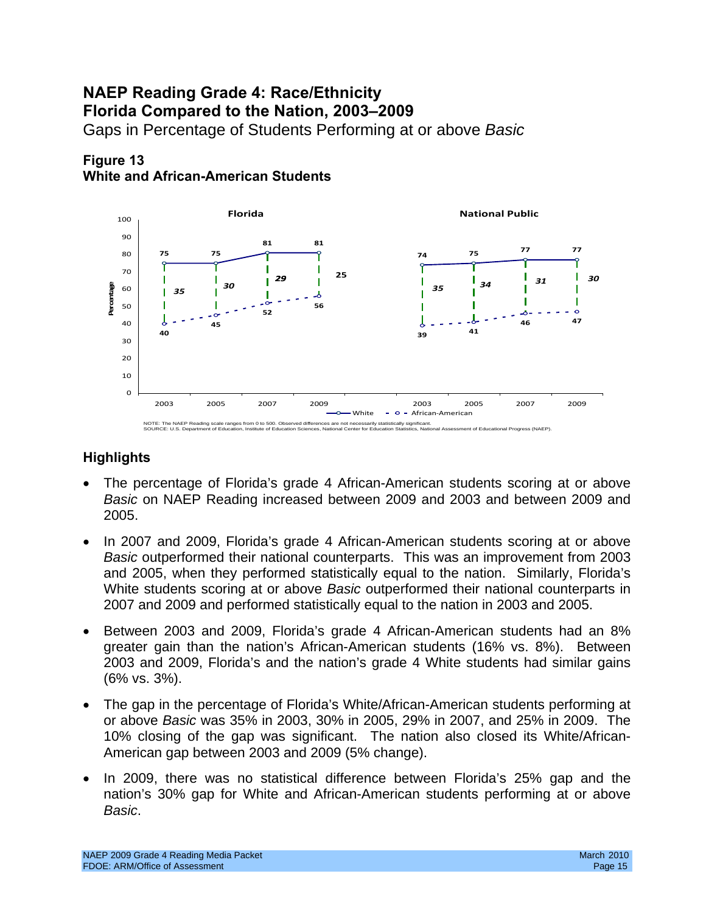## **NAEP Reading Grade 4: Race/Ethnicity Florida Compared to the Nation, 2003–2009**  Gaps in Percentage of Students Performing at or above *Basic*

#### **Figure 13 White and African-American Students**



- The percentage of Florida's grade 4 African-American students scoring at or above *Basic* on NAEP Reading increased between 2009 and 2003 and between 2009 and 2005.
- In 2007 and 2009, Florida's grade 4 African-American students scoring at or above *Basic* outperformed their national counterparts. This was an improvement from 2003 and 2005, when they performed statistically equal to the nation. Similarly, Florida's White students scoring at or above *Basic* outperformed their national counterparts in 2007 and 2009 and performed statistically equal to the nation in 2003 and 2005.
- Between 2003 and 2009, Florida's grade 4 African-American students had an 8% greater gain than the nation's African-American students (16% vs. 8%). Between 2003 and 2009, Florida's and the nation's grade 4 White students had similar gains (6% vs. 3%).
- The gap in the percentage of Florida's White/African-American students performing at or above *Basic* was 35% in 2003, 30% in 2005, 29% in 2007, and 25% in 2009. The 10% closing of the gap was significant. The nation also closed its White/African-American gap between 2003 and 2009 (5% change).
- In 2009, there was no statistical difference between Florida's 25% gap and the nation's 30% gap for White and African-American students performing at or above *Basic*.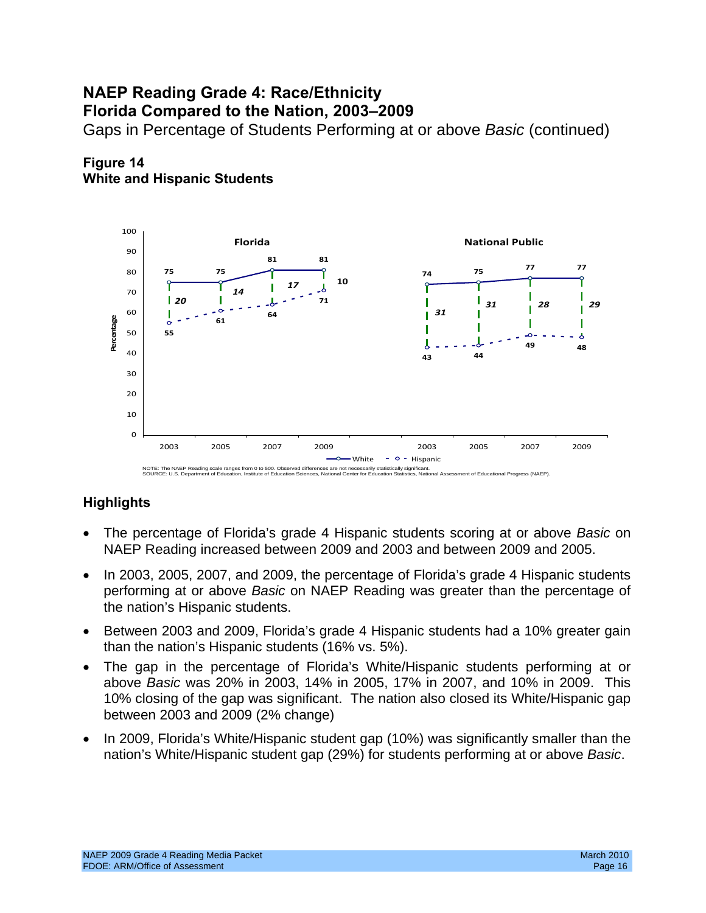# **NAEP Reading Grade 4: Race/Ethnicity**

**Florida Compared to the Nation, 2003–2009** 

Gaps in Percentage of Students Performing at or above *Basic* (continued)



### **Figure 14 White and Hispanic Students**

#### NOTE: The NAEP Reading scale ranges from 0 to 500. Observed SOURCE: U.S. Department of Education. Institute of Education ed differences are not necessarily statistically significant.<br>Sciences. National Center for Education Statistics, National Assessment of Educational Progress (NAEP)

- The percentage of Florida's grade 4 Hispanic students scoring at or above *Basic* on NAEP Reading increased between 2009 and 2003 and between 2009 and 2005.
- In 2003, 2005, 2007, and 2009, the percentage of Florida's grade 4 Hispanic students performing at or above *Basic* on NAEP Reading was greater than the percentage of the nation's Hispanic students.
- Between 2003 and 2009, Florida's grade 4 Hispanic students had a 10% greater gain than the nation's Hispanic students (16% vs. 5%).
- 10% closing of the gap was significant. The nation also closed its White/Hispanic gap The gap in the percentage of Florida's White/Hispanic students performing at or above *Basic* was 20% in 2003, 14% in 2005, 17% in 2007, and 10% in 2009. This between 2003 and 2009 (2% change)
- In 2009, Florida's White/Hispanic student gap (10%) was significantly smaller than the nation's White/Hispanic student gap (29%) for students performing at or above *Basic*.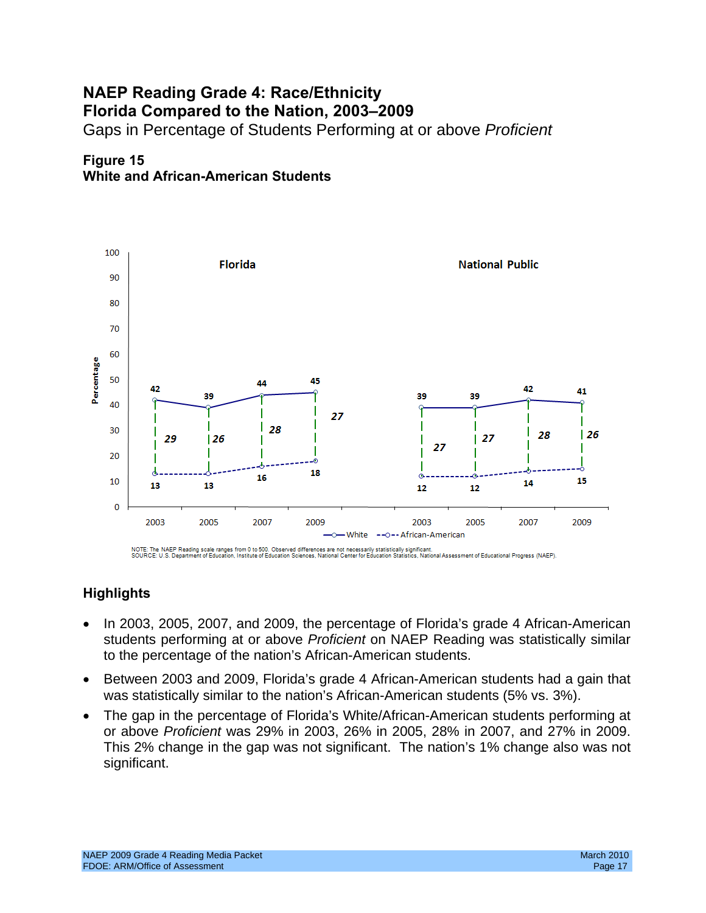## **NAEP Reading Grade 4: Race/Ethnicity Florida Compared to the Nation, 2003–2009**

Gaps in Percentage of Students Performing at or above *Proficient* 

## **Figure 15 White and African-American Students**



NOTE: The NAEP Reading scale ranges from 0 to 500. Observed differences are not necessarily statistically significant.<br>SOURCE: U.S. Department of Education, Institute of Education Sciences, National Center for Education St

- In 2003, 2005, 2007, and 2009, the percentage of Florida's grade 4 African-American students performing at or above *Proficient* on NAEP Reading was statistically similar to the percentage of the nation's African-American students.
- Between 2003 and 2009, Florida's grade 4 African-American students had a gain that was statistically similar to the nation's African-American students (5% vs. 3%).
- or above Proficient was 29% in 2003, 26% in 2005, 28% in 2007, and 27% in 2009. or above *Proficient* was 29% in 2003, 26% in 2005, 28% in 2007, and 27% in 2009.<br>This 2% change in the gap was not significant. The nation's 1% change also was not The gap in the percentage of Florida's White/African-American students performing at significant.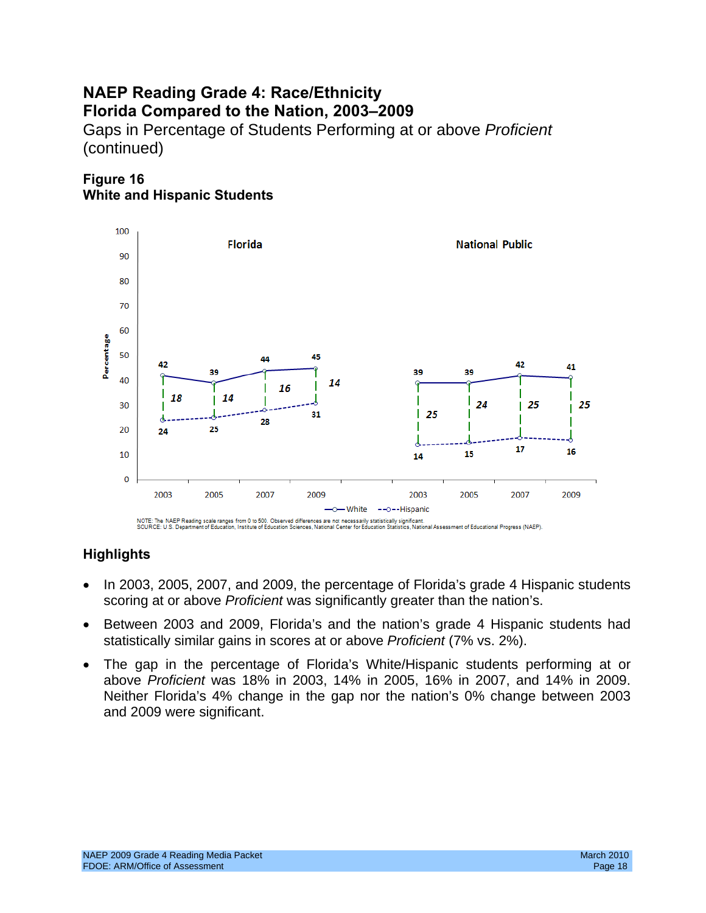## **NAEP Reading Grade 4: Race/Ethnicity Florida Compared to the Nation, 2003–2009**  Gaps in Percentage of Students Performing at or above *Proficient*  (continued)

## **Figure 16 White and Hispanic Students**



- In 2003, 2005, 2007, and 2009, the percentage of Florida's grade 4 Hispanic students scoring at or above *Proficient* was significantly greater than the nation's.
- statistically similar gains in scores at or above *Proficient* (7% vs. 2%). • Between 2003 and 2009, Florida's and the nation's grade 4 Hispanic students had
- above Proficient was 18% in 2003, 14% in 2005, 16% in 2007, and 14% in 2009. • The gap in the percentage of Florida's White/Hispanic students performing at or Neither *Plorida's* 4% change in the gap nor the nation's 0% change between 2003 and 2009 were significant.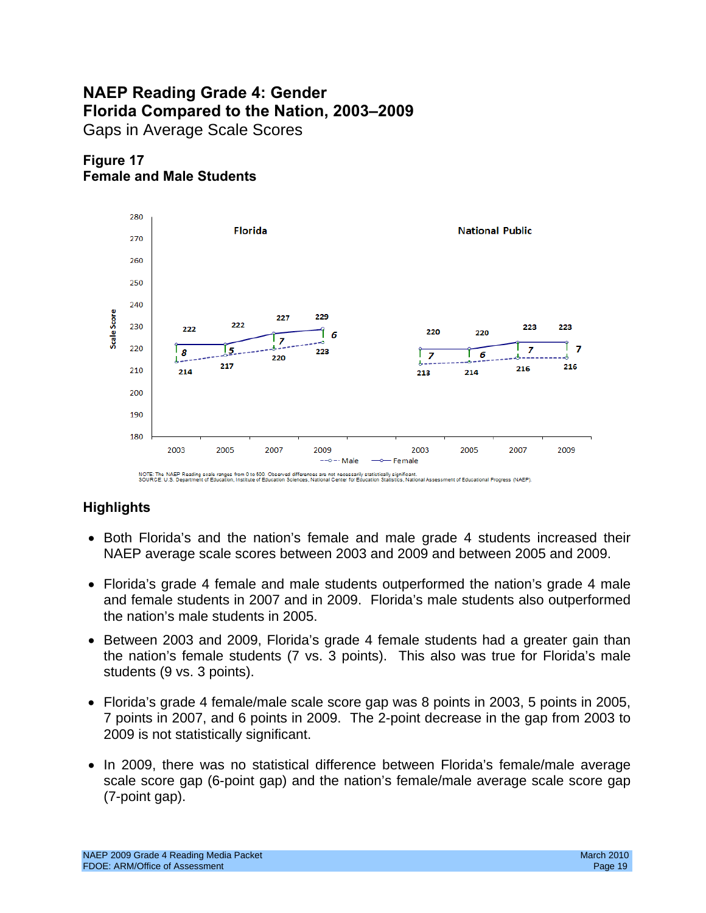## **NAEP Reading Grade 4: Gender Florida Compared to the Nation, 2003–2009**  Gaps in Average Scale Scores





- Both Florida's and the nation's female and male grade 4 students increased their NAEP average scale scores between 2003 and 2009 and between 2005 and 2009.
- Florida's grade 4 female and male students outperformed the nation's grade 4 male and female students in 2007 and in 2009. Florida's male students also outperformed the nation's male students in 2005.
- Between 2003 and 2009, Florida's grade 4 female students had a greater gain than the nation's female students (7 vs. 3 points). This also was true for Florida's male students (9 vs. 3 points).
- Florida's grade 4 female/male scale score gap was 8 points in 2003, 5 points in 2005, 7 points in 2007, and 6 points in 2009. The 2-point decrease in the gap from 2003 to 2009 is not statistically significant.
- In 2009, there was no statistical difference between Florida's female/male average scale score gap (6-point gap) and the nation's female/male average scale score gap (7-point gap).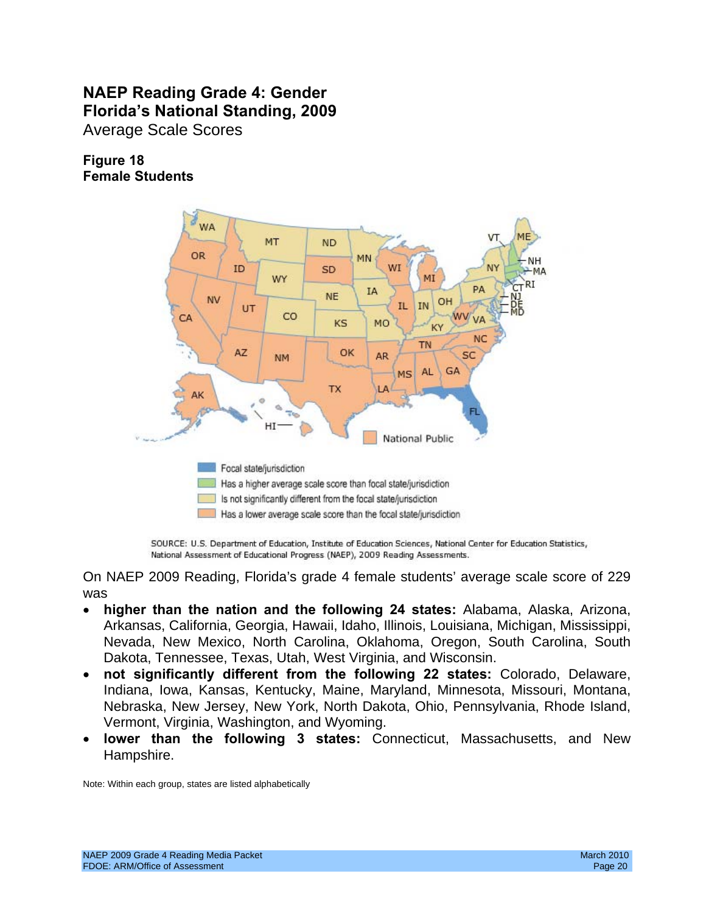## **NAEP Reading Grade 4: Gender Florida's National Standing, 2009**  Average Scale Scores

## **Figure 18 Female Students**



SOURCE: U.S. Department of Education, Institute of Education Sciences, National Center for Education Statistics, National Assessment of Educational Progress (NAEP), 2009 Reading Assessments.

On NAEP 2009 Reading, Florida's grade 4 female students' average scale score of 229 was

- **higher than the nation and the following 24 states:** Alabama, Alaska, Arizona, Arkansas, California, Georgia, Hawaii, Idaho, Illinois, Louisiana, Michigan, Mississippi, Nevada, New Mexico, North Carolina, Oklahoma, Oregon, South Carolina, South Dakota, Tennessee, Texas, Utah, West Virginia, and Wisconsin.
- • **not significantly different from the following 22 states:** Colorado, Delaware, Indiana, Iowa, Kansas, Kentucky, Maine, Maryland, Minnesota, Missouri, Montana, Nebraska, New Jersey, New York, North Dakota, Ohio, Pennsylvania, Rhode Island, Vermont, Virginia, Washington, and Wyoming.
- **lower than the following 3 states:** Connecticut, Massachusetts, and New Hampshire.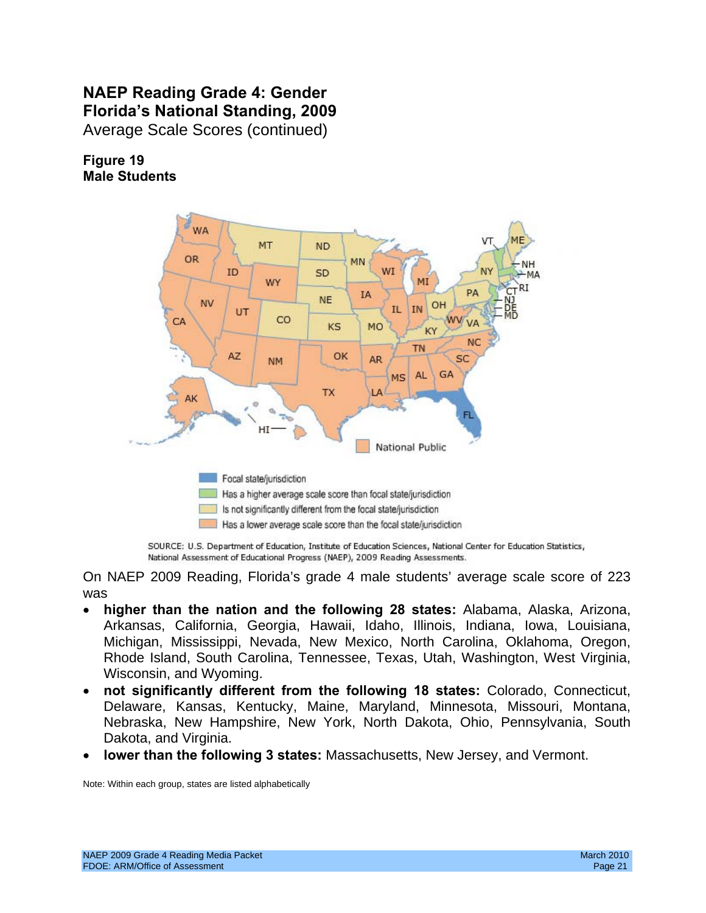## **NAEP Reading Grade 4: Gender Florida's National Standing, 2009**  Average Scale Scores (continued)

**Figure 19** 

**Male Students** 



SOURCE: U.S. Department of Education, Institute of Education Sciences, National Center for Education Statistics, National Assessment of Educational Progress (NAEP), 2009 Reading Assessments.

On NAEP 2009 Reading, Florida's grade 4 male students' average scale score of 223 was

- **higher than the nation and the following 28 states:** Alabama, Alaska, Arizona, Arkansas, California, Georgia, Hawaii, Idaho, Illinois, Indiana, Iowa, Louisiana, Michigan, Mississippi, Nevada, New Mexico, North Carolina, Oklahoma, Oregon, Rhode Island, South Carolina, Tennessee, Texas, Utah, Washington, West Virginia, Wisconsin, and Wyoming.
- • **not significantly different from the following 18 states:** Colorado, Connecticut, Delaware, Kansas, Kentucky, Maine, Maryland, Minnesota, Missouri, Montana, Nebraska, New Hampshire, New York, North Dakota, Ohio, Pennsylvania, South Dakota, and Virginia.
- **lower than the following 3 states:** Massachusetts, New Jersey, and Vermont.<br>Note: Within each group, states are listed alphabetically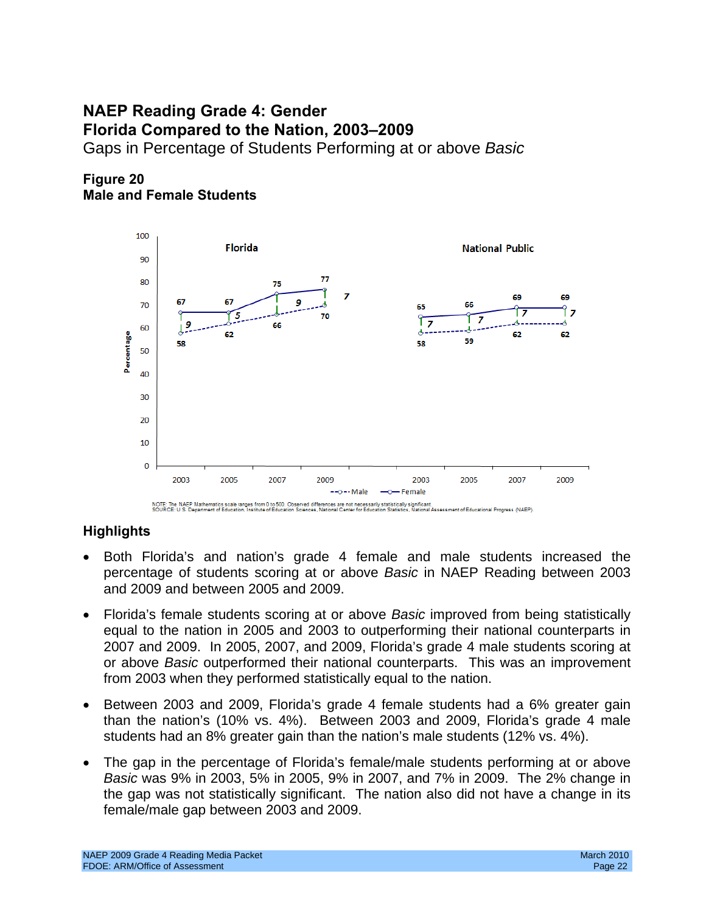## Gaps in Percentage of Students Performing at or above *Basic* **NAEP Reading Grade 4: Gender Florida Compared to the Nation, 2003–2009**

**Figure 20 Male and Female Students** 



- Both Florida's and nation's grade 4 female and male students increased the percentage of students scoring at or above *Basic* in NAEP Reading between 2003 and 2009 and between 2005 and 2009.
- Florida's female students scoring at or above *Basic* improved from being statistically equal to the nation in 2005 and 2003 to outperforming their national counterparts in 2007 and 2009. In 2005, 2007, and 2009, Florida's grade 4 male students scoring at or above *Basic* outperformed their national counterparts. This was an improvement from 2003 when they performed statistically equal to the nation.
- Between 2003 and 2009, Florida's grade 4 female students had a 6% greater gain than the nation's (10% vs. 4%). Between 2003 and 2009, Florida's grade 4 male students had an 8% greater gain than the nation's male students (12% vs. 4%).
- The gap in the percentage of Florida's female/male students performing at or above *Basic* was 9% in 2003, 5% in 2005, 9% in 2007, and 7% in 2009. The 2% change in the gap was not statistically significant. The nation also did not have a change in its female/male gap between 2003 and 2009.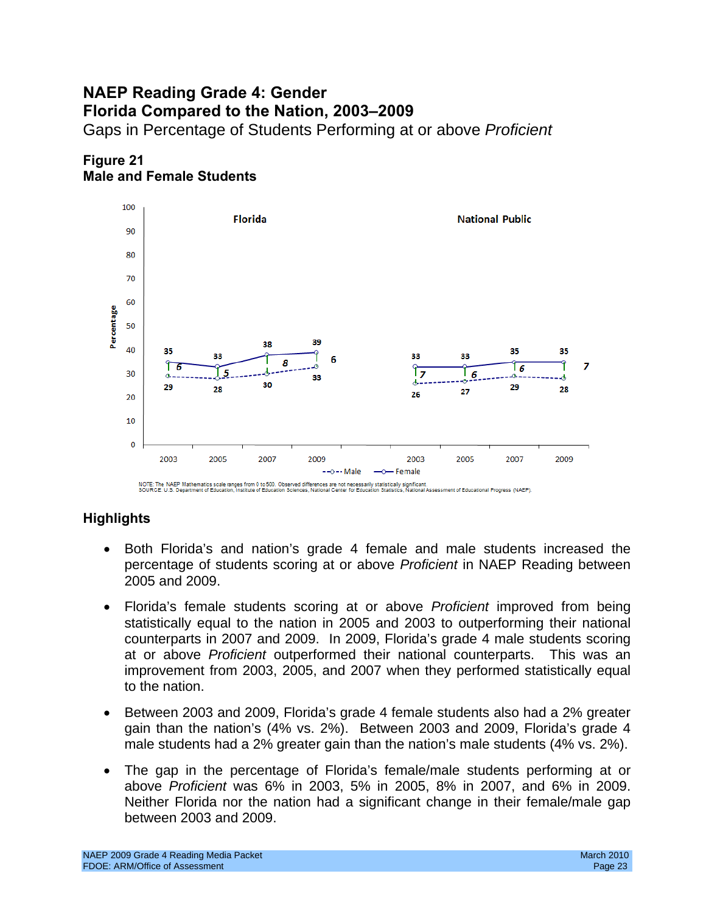## **NAEP Reading Grade 4: Gender Florida Compared to the Nation, 2003–2009**  Gaps in Percentage of Students Performing at or above *Proficient*



## **Figure 21 Male and Female Students**

- Both Florida's and nation's grade 4 female and male students increased the percentage of students scoring at or above *Proficient* in NAEP Reading between 2005 and 2009.
- Florida's female students scoring at or above *Proficient* improved from being statistically equal to the nation in 2005 and 2003 to outperforming their national counterparts in 2007 and 2009. In 2009, Florida's grade 4 male students scoring at or above *Proficient* outperformed their national counterparts. This was an improvement from 2003, 2005, and 2007 when they performed statistically equal to the nation.
- Between 2003 and 2009, Florida's grade 4 female students also had a 2% greater gain than the nation's (4% vs. 2%). Between 2003 and 2009, Florida's grade 4 male students had a 2% greater gain than the nation's male students (4% vs. 2%).
- The gap in the percentage of Florida's female/male students performing at or above *Proficient* was 6% in 2003, 5% in 2005, 8% in 2007, and 6% in 2009. Neither Florida nor the nation had a significant change in their female/male gap between 2003 and 2009.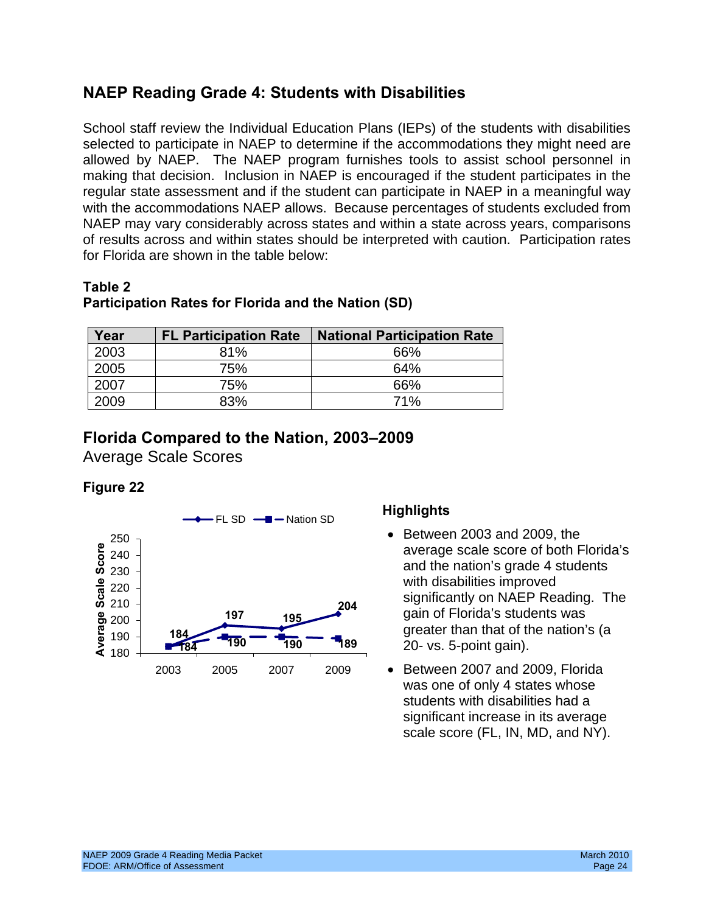## **NAEP Reading Grade 4: Students with Disabilities**

School staff review the Individual Education Plans (IEPs) of the students with disabilities selected to participate in NAEP to determine if the accommodations they might need are allowed by NAEP. The NAEP program furnishes tools to assist school personnel in making that decision. Inclusion in NAEP is encouraged if the student participates in the regular state assessment and if the student can participate in NAEP in a meaningful way with the accommodations NAEP allows. Because percentages of students excluded from NAEP may vary considerably across states and within a state across years, comparisons of results across and within states should be interpreted with caution. Participation rates for Florida are shown in the table below:

#### **Table 2 Participation Rates for Florida and the Nation (SD)**

| Year | <b>FL Participation Rate</b> | <b>National Participation Rate</b> |
|------|------------------------------|------------------------------------|
| 2003 | 81%                          | 66%                                |
| 2005 | 75%                          | 64%                                |
| 2007 | 75%                          | 66%                                |
| 2009 | 83%                          | 71%                                |

## **Florida Compared to the Nation, 2003–2009**

Average Scale Scores

## **Figure 22**



- Between 2003 and 2009, the average scale score of both Florida's and the nation's grade 4 students with disabilities improved significantly on NAEP Reading. The gain of Florida's students was greater than that of the nation's (a 20- vs. 5-point gain).
- • Between 2007 and 2009, Florida was one of only 4 states whose students with disabilities had a significant increase in its average scale score (FL, IN, MD, and NY).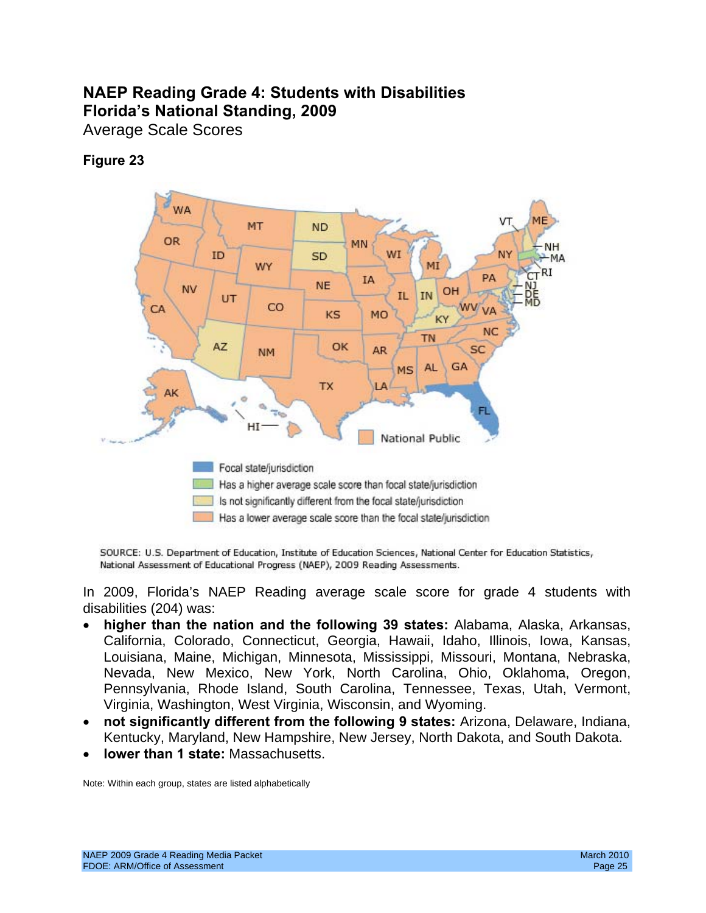## **NAEP Reading Grade 4: Students with Disabilities Florida's National Standing, 2009**

Average Scale Scores

## **Figure 23**



SOURCE: U.S. Department of Education, Institute of Education Sciences, National Center for Education Statistics, National Assessment of Educational Progress (NAEP), 2009 Reading Assessments.

In 2009, Florida's NAEP Reading average scale score for grade 4 students with disabilities (204) was:

- **higher than the nation and the following 39 states:** Alabama, Alaska, Arkansas, California, Colorado, Connecticut, Georgia, Hawaii, Idaho, Illinois, Iowa, Kansas, Louisiana, Maine, Michigan, Minnesota, Mississippi, Missouri, Montana, Nebraska, Nevada, New Mexico, New York, North Carolina, Ohio, Oklahoma, Oregon, Pennsylvania, Rhode Island, South Carolina, Tennessee, Texas, Utah, Vermont, Virginia, Washington, West Virginia, Wisconsin, and Wyoming.
- • **not significantly different from the following 9 states:** Arizona, Delaware, Indiana, Kentucky, Maryland, New Hampshire, New Jersey, North Dakota, and South Dakota.
- **lower than 1 state: Massachusetts.**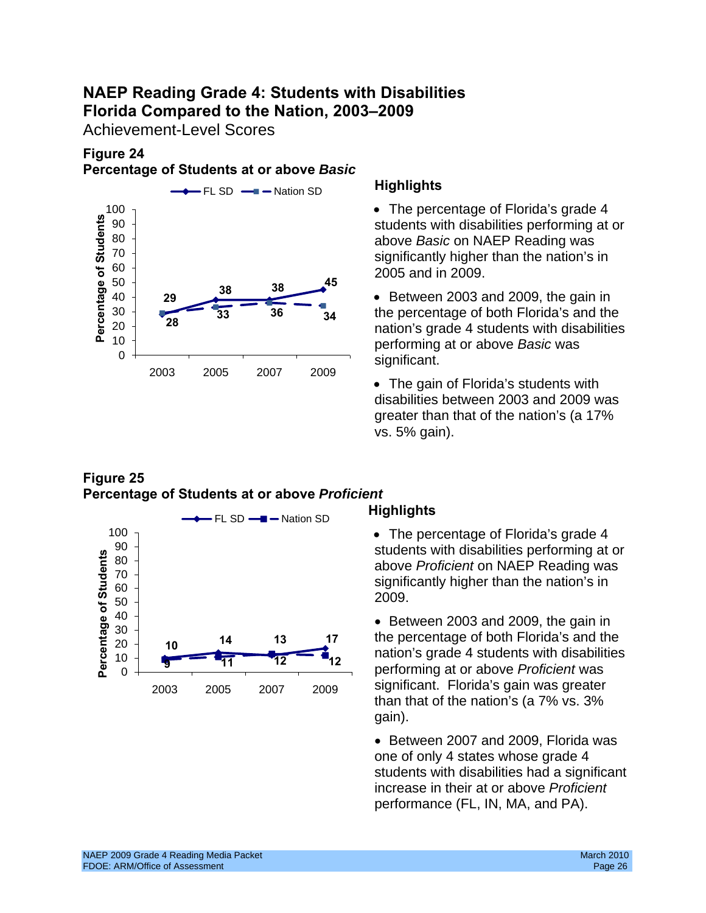## **NAEP Reading Grade 4: Students with Disabilities Florida Compared to the Nation, 2003–2009**

Achievement-Level Scores

## **Figure 24 Percentage of Students at or above** *Basic*



students with disabilities performing at or above *Basic* on NAEP Reading was significantly higher than the nation's in 2005 and in 2009.

• Between 2003 and 2009, the gain in the percentage of both Florida's and the nation's grade 4 students with disabilities performing at or above *Basic* was significant.

• The gain of Florida's students with disabilities between 2003 and 2009 was greater than that of the nation's (a 17% vs. 5% gain).

## **Figure 25 Percentage of Students at or above** *Proficient*



• The percentage of Florida's grade 4 students with disabilities performing at or above *Proficient* on NAEP Reading was significantly higher than the nation's in 2009.

• Between 2003 and 2009, the gain in **<sup>17</sup>**the percentage of both Florida's and the nation's grade 4 students with disabilities performing at or above *Proficient* was significant. Florida's gain was greater than that of the nation's (a 7% vs. 3% gain).

> • Between 2007 and 2009, Florida was one of only 4 states whose grade 4 students with disabilities had a significant increase in their at or above *Proficient*  performance (FL, IN, MA, and PA).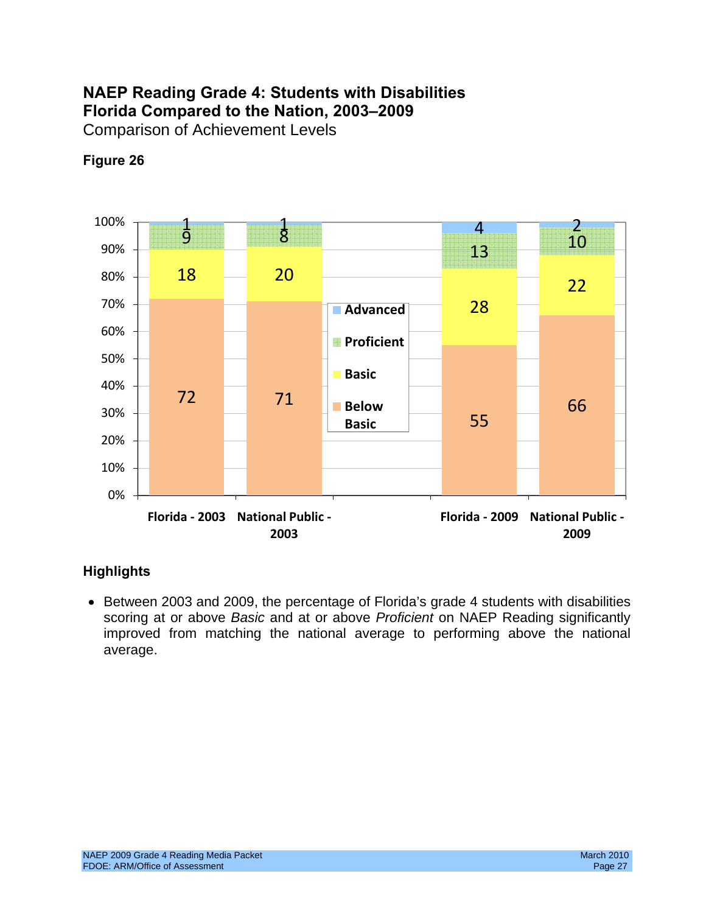## **NAEP Reading Grade 4: Students with Disabilities Florida Compared to the Nation, 2003–2009**  Comparison of Achievement Levels



## **Figure 26**

## **Highlights**

• Between 2003 and 2009, the percentage of Florida's grade 4 students with disabilities scoring at or above *Basic* and at or above *Proficient* on NAEP Reading significantly improved from matching the national average to performing above the national average.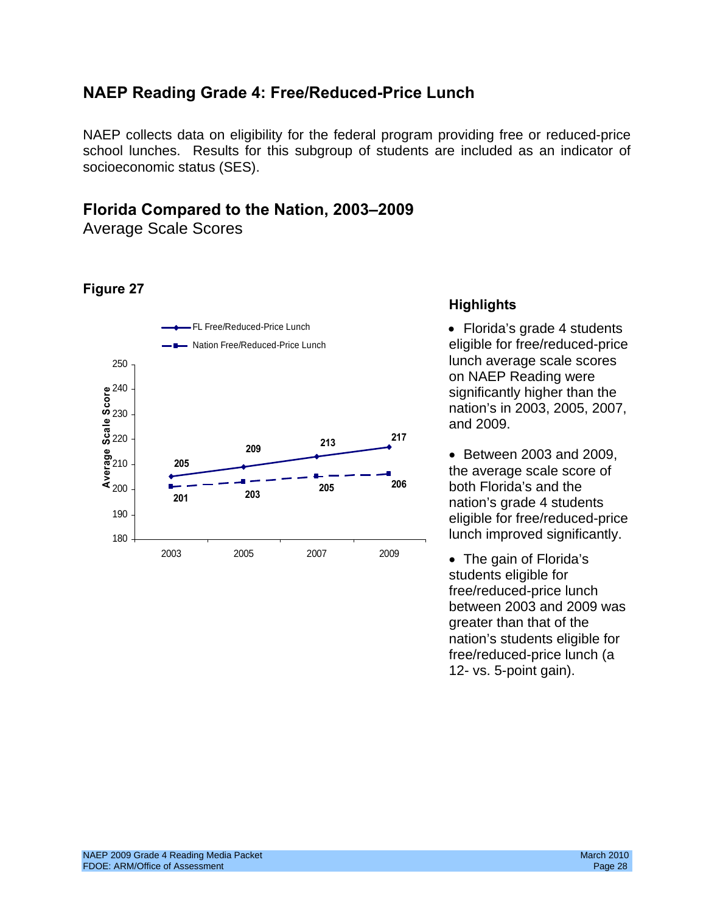## **NAEP Reading Grade 4: Free/Reduced-Price Lunch**

NAEP collects data on eligibility for the federal program providing free or reduced-price school lunches. Results for this subgroup of students are included as an indicator of socioeconomic status (SES).

## **Florida Compared to the Nation, 2003–2009**

Average Scale Scores

## **Figure 27**



## **Highlights**

on NAEP Reading were significantly higher than the nation's in 2003, 2005, 2007, and 2009.

• Between 2003 and 2009, the average scale score of nation's grade 4 students eligible for free/reduced-price lunch improved significantly.

• The gain of Florida's students eligible for free/reduced-price lunch between 2003 and 2009 was greater than that of the nation's students eligible for free/reduced-price lunch (a 12- vs. 5-point gain).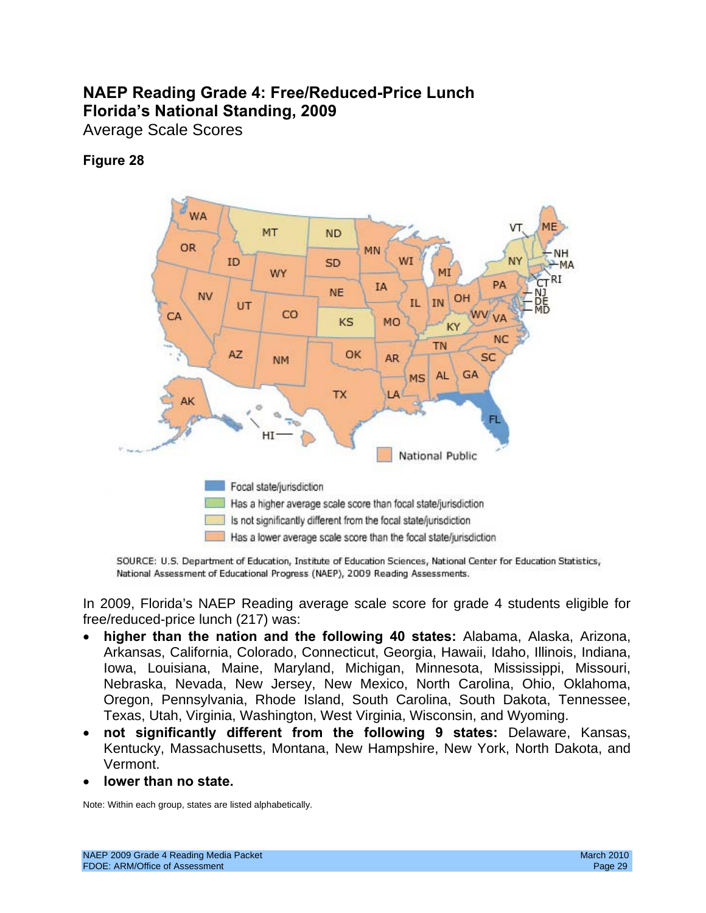## **NAEP Reading Grade 4: Free/Reduced-Price Lunch Florida's National Standing, 2009**

Average Scale Scores

## **Figure 28**



SOURCE: U.S. Department of Education, Institute of Education Sciences, National Center for Education Statistics, National Assessment of Educational Progress (NAEP), 2009 Reading Assessments.

In 2009, Florida's NAEP Reading average scale score for grade 4 students eligible for free/reduced-price lunch (217) was:

- **higher than the nation and the following 40 states:** Alabama, Alaska, Arizona, Arkansas, California, Colorado, Connecticut, Georgia, Hawaii, Idaho, Illinois, Indiana, Iowa, Louisiana, Maine, Maryland, Michigan, Minnesota, Mississippi, Missouri, Nebraska, Nevada, New Jersey, New Mexico, North Carolina, Ohio, Oklahoma, Oregon, Pennsylvania, Rhode Island, South Carolina, South Dakota, Tennessee, Texas, Utah, Virginia, Washington, West Virginia, Wisconsin, and Wyoming.
- • **not significantly different from the following 9 states:** Delaware, Kansas, Kentucky, Massachusetts, Montana, New Hampshire, New York, North Dakota, and Vermont.
- lower than no state.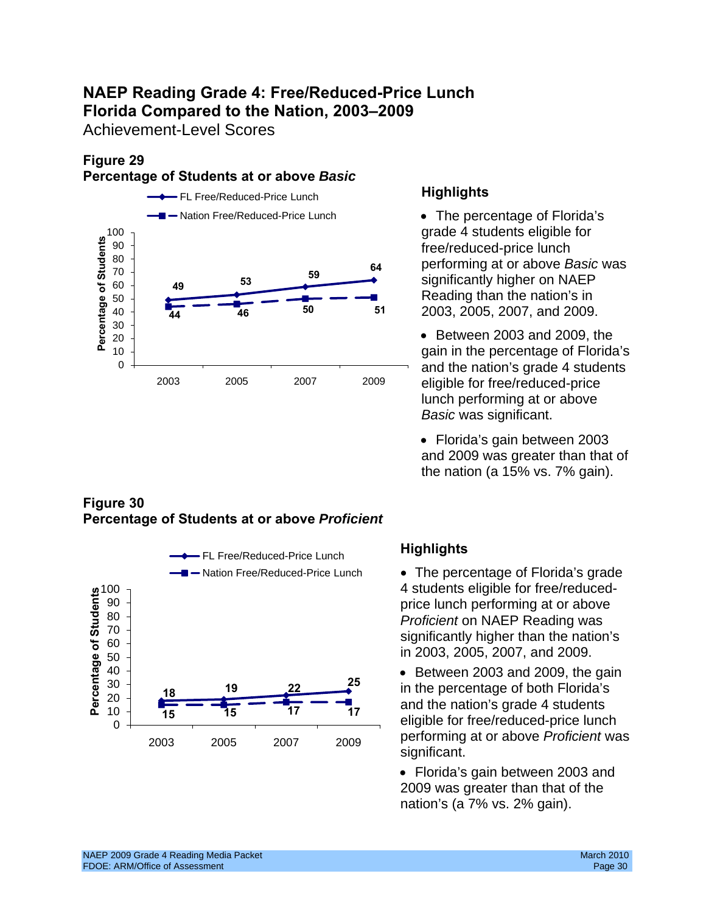## **NAEP Reading Grade 4: Free/Reduced-Price Lunch Florida Compared to the Nation, 2003–2009**

Achievement-Level Scores

#### **Figure 29 Percentage of Students at or above** *Basic*



## **Figure 30 Percentage of Students at or above** *Proficient*



- grade 4 students eligible for free/reduced-price lunch performing at or above *Basic* was significantly higher on NAEP Reading than the nation's in 2003, 2005, 2007, and 2009.
- Between 2003 and 2009, the gain in the percentage of Florida's and the nation's grade 4 students eligible for free/reduced-price lunch performing at or above *Basic* was significant.
- Florida's gain between 2003 and 2009 was greater than that of the nation (a 15% vs. 7% gain).

Nation Free/Reduced-Price Lunch • The percentage of Florida's grade 4 students eligible for free/reduced-

significant.

• Florida's gain between 2003 and 2009 was greater than that of the nation's (a 7% vs. 2% gain).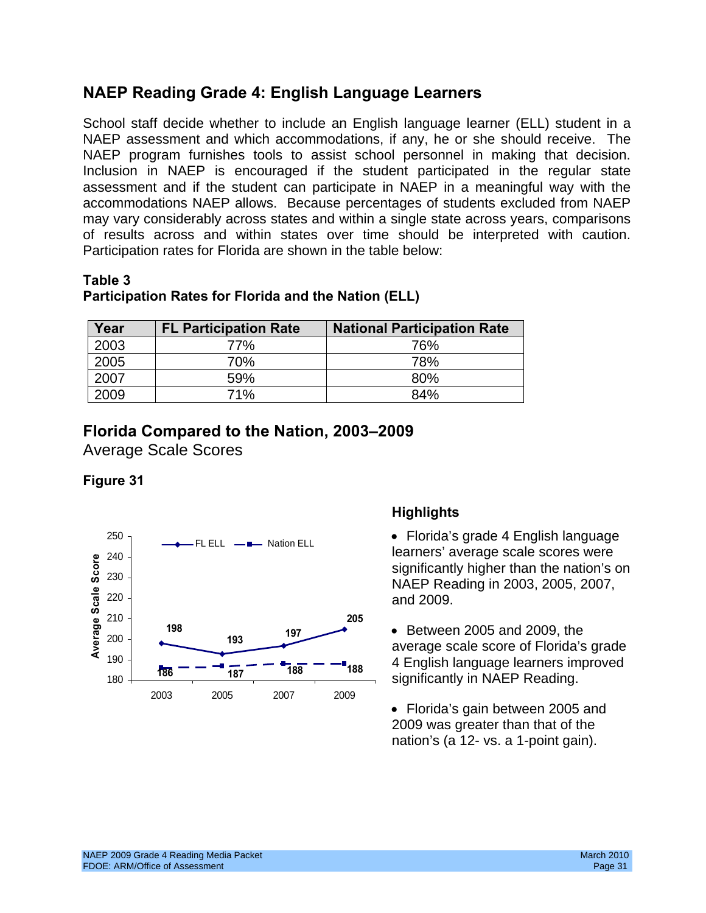## **NAEP Reading Grade 4: English Language Learners**

NAEP program furnishes tools to assist school personnel in making that decision. of results across and within states over time should be interpreted with caution.<br>Participation rates for Florida are shown in the table below: School staff decide whether to include an English language learner (ELL) student in a NAEP assessment and which accommodations, if any, he or she should receive. The Inclusion in NAEP is encouraged if the student participated in the regular state assessment and if the student can participate in NAEP in a meaningful way with the accommodations NAEP allows. Because percentages of students excluded from NAEP may vary considerably across states and within a single state across years, comparisons

### **Table 3**

## **Participation Rates for Florida and the Nation (ELL)**

| Year | <b>FL Participation Rate</b> | <b>National Participation Rate</b> |
|------|------------------------------|------------------------------------|
| 2003 | 77%                          | 76%                                |
| 2005 | 70%                          | 78%                                |
| 2007 | 59%                          | 80%                                |
| 2009 | 71%                          | 84%                                |

## **Florida Compared to the Nation, 2003–2009**

Average Scale Scores

## **Figure 31**



## **Highlights**

• Florida's grade 4 English language learners' average scale scores were significantly higher than the nation's on NAEP Reading in 2003, 2005, 2007, and 2009.

• Between 2005 and 2009, the average scale score of Florida's grade 4 English language learners improved significantly in NAEP Reading.

• Florida's gain between 2005 and 2009 was greater than that of the nation's (a 12- vs. a 1-point gain).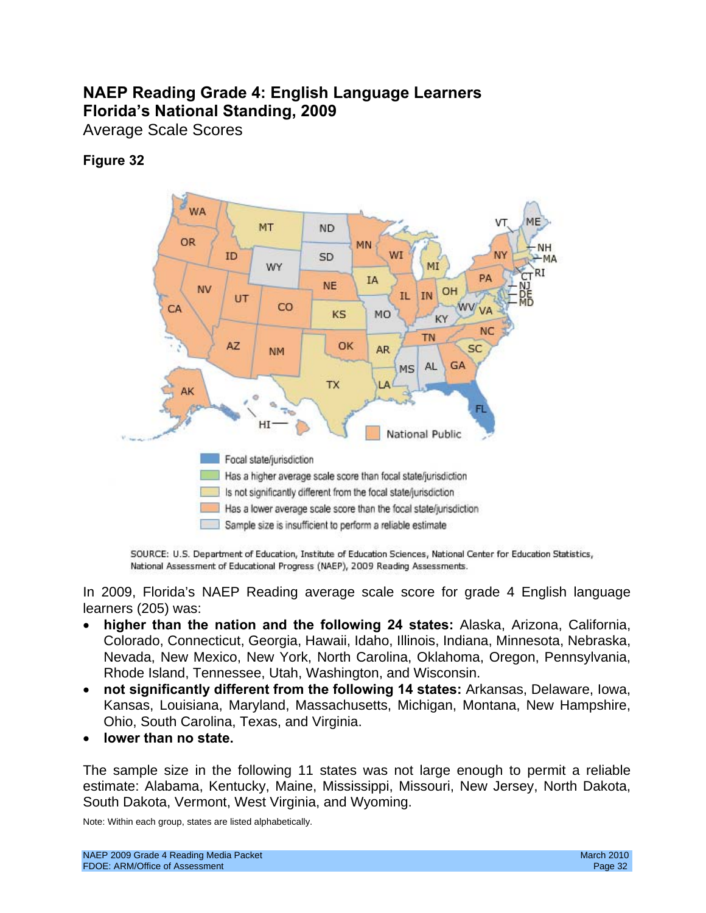## **NAEP Reading Grade 4: English Language Learners Florida's National Standing, 2009**

Average Scale Scores

## **Figure 32**



SOURCE: U.S. Department of Education, Institute of Education Sciences, National Center for Education Statistics, National Assessment of Educational Progress (NAEP), 2009 Reading Assessments.

In 2009, Florida's NAEP Reading average scale score for grade 4 English language learners (205) was:

- **higher than the nation and the following 24 states:** Alaska, Arizona, California, Colorado, Connecticut, Georgia, Hawaii, Idaho, Illinois, Indiana, Minnesota, Nebraska, Nevada, New Mexico, New York, North Carolina, Oklahoma, Oregon, Pennsylvania, Rhode Island, Tennessee, Utah, Washington, and Wisconsin.
- • **not significantly different from the following 14 states:** Arkansas, Delaware, Iowa, Kansas, Louisiana, Maryland, Massachusetts, Michigan, Montana, New Hampshire, Ohio, South Carolina, Texas, and Virginia.
- • **lower than no state.**

The sample size in the following 11 states was not large enough to permit a reliable estimate: Alabama, Kentucky, Maine, Mississippi, Missouri, New Jersey, North Dakota, South Dakota, Vermont, West Virginia, and Wyoming.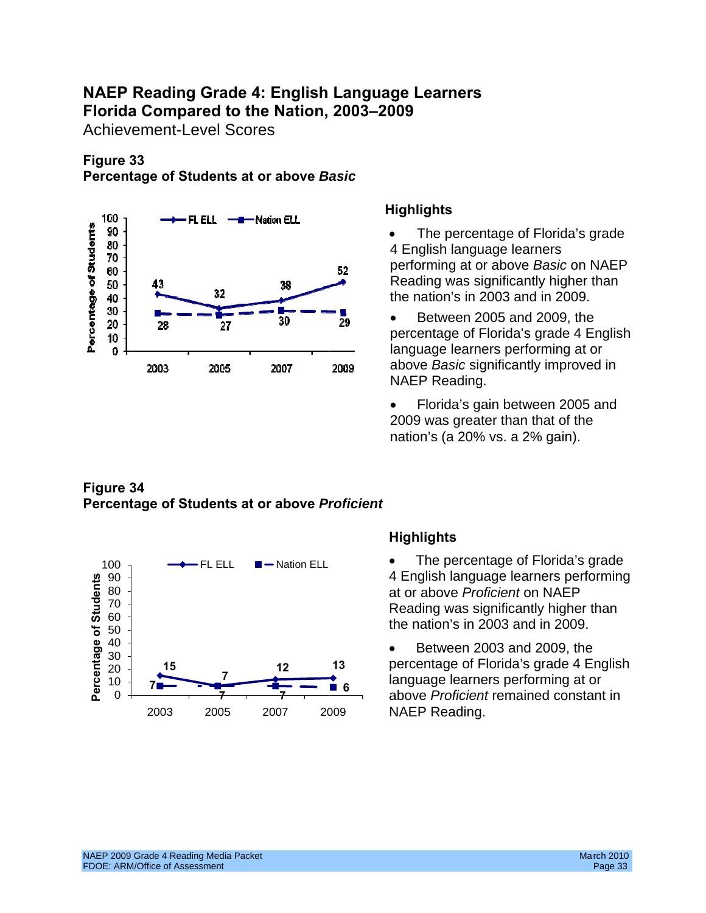## **NAEP Reading Grade 4: English Language Learners Florida Compared to the Nation, 2003–2009**

Achievement-Level Scores

## **Figure 33 Percentage of Students at or above** *Basic*



## **Highlights**

- The percentage of Florida's grade 4 English language learners performing at or above *Basic* on NAEP Reading was significantly higher than the nation's in 2003 and in 2009.
- Between 2005 and 2009, the percentage of Florida's grade 4 English language learners performing at or above *Basic* significantly improved in NAEP Reading.

• Florida's gain between 2005 and 2009 was greater than that of the nation's (a 20% vs. a 2% gain).

## **Figure 34 Percentage of Students at or above** *Proficient*



- The percentage of Florida's grade 4 English language learners performing at or above *Proficient* on NAEP Reading was significantly higher than the nation's in 2003 and in 2009.
- Between 2003 and 2009, the percentage of Florida's grade 4 English language learners performing at or above *Proficient* remained constant in NAEP Reading.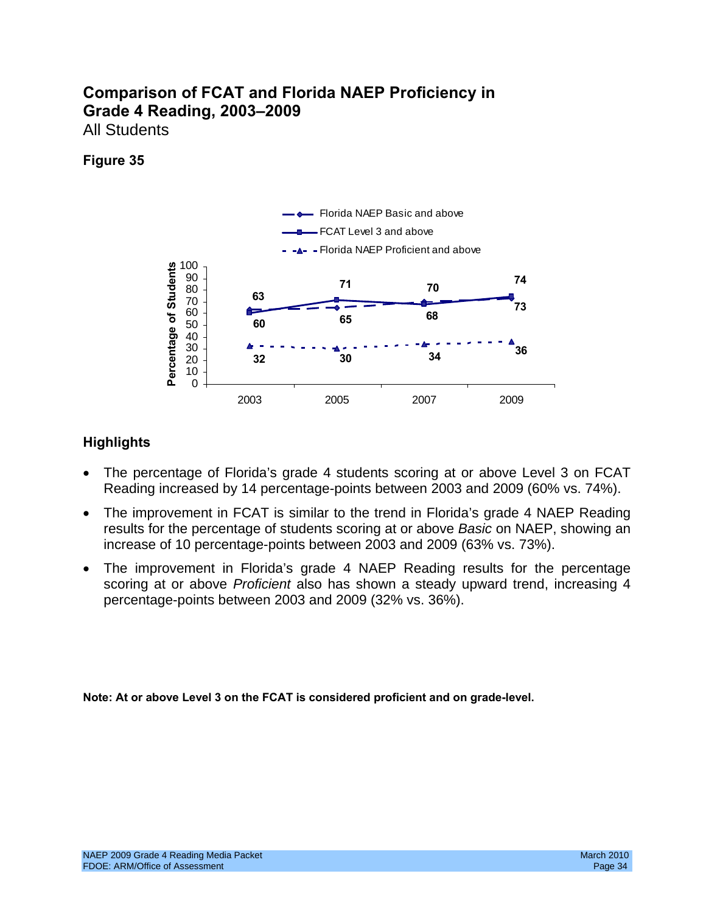## **Comparison of FCAT and Florida NAEP Proficiency in Grade 4 Reading, 2003–2009**  All Students

#### **Figure 35**



## **Highlights**

- The percentage of Florida's grade 4 students scoring at or above Level 3 on FCAT Reading increased by 14 percentage-points between 2003 and 2009 (60% vs. 74%).
- The improvement in FCAT is similar to the trend in Florida's grade 4 NAEP Reading results for the percentage of students scoring at or above *Basic* on NAEP, showing an increase of 10 percentage-points between 2003 and 2009 (63% vs. 73%).
- The improvement in Florida's grade 4 NAEP Reading results for the percentage scoring at or above *Proficient* also has shown a steady upward trend, increasing 4 percentage-points between 2003 and 2009 (32% vs. 36%).

**Note: At or above Level 3 on the FCAT is considered proficient and on grade-level.**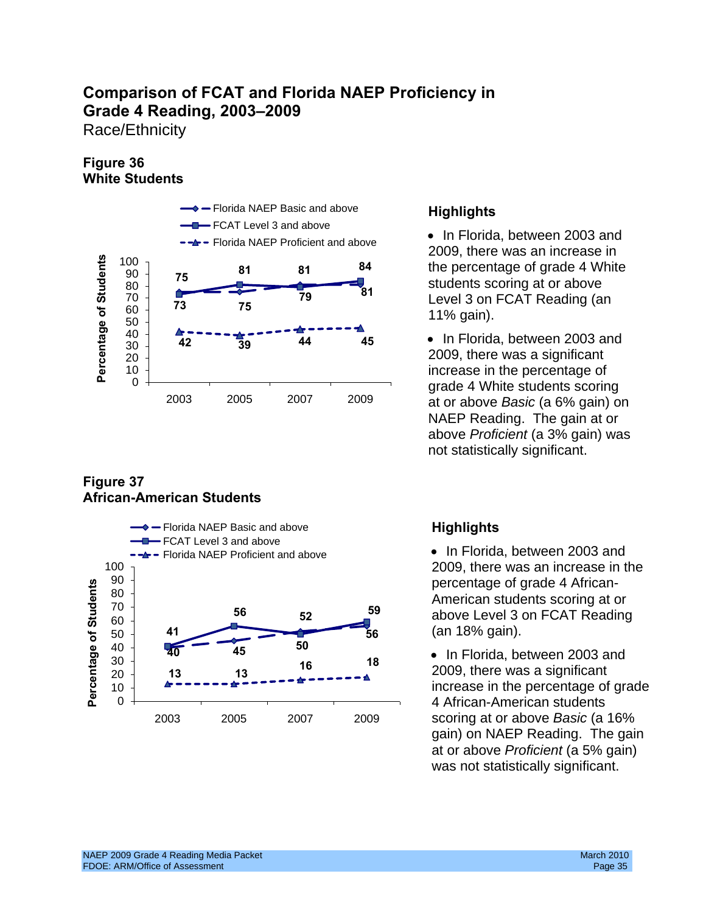Race/Ethnicity

## **Figure 36 White Students**



## **Figure 37 African-American Students**



• Florida, between 2003 and<br>• Florida NAEP Proficient and above 2009, there was an increase in **81 81 84** the percentage of grade 4 White students scoring at or above Level 3 on FCAT Reading (an

> at or above *Basic* (a 6% gain) on NAEP Reading. The gain at or above *Proficient* (a 3% gain) was not statistically significant.

(an 18% gain).

• In Florida, between 2003 and 2009, there was a significant **<sup>18</sup> <sup>16</sup>** increase in the percentage of grade 4 African-American students gain) on NAEP Reading. The gain at or above *Proficient* (a 5% gain) was not statistically significant.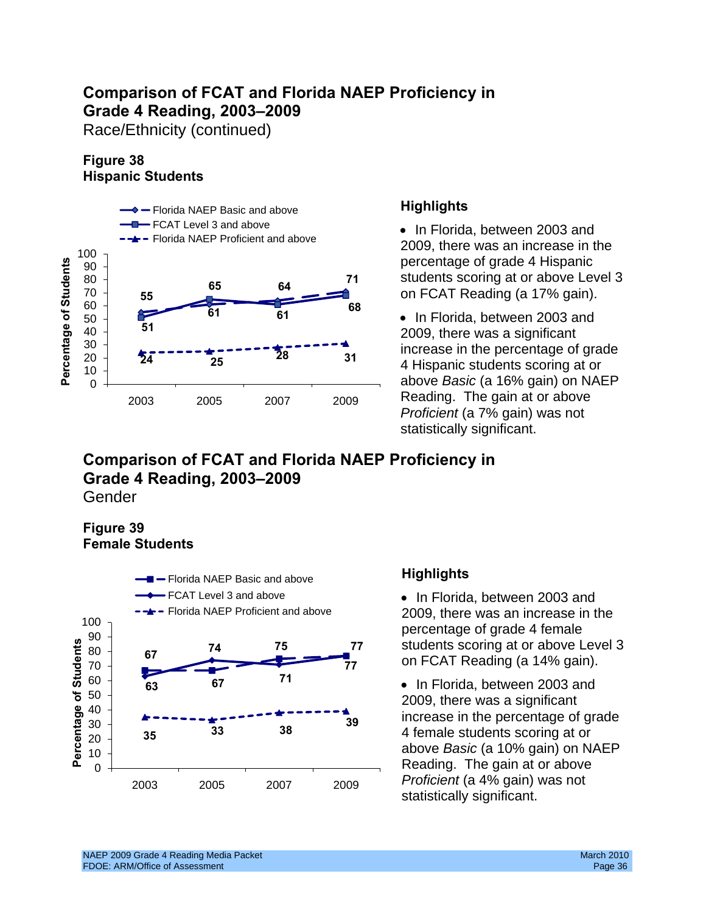Race/Ethnicity (continued)

## **Figure 38 Hispanic Students**



## **Highlights**

• In Florida, between 2003 and 2009, there was an increase in the percentage of grade 4 Hispanic students scoring at or above Level 3 on FCAT Reading (a 17% gain).

• In Florida, between 2003 and 2009, there was a significant increase in the percentage of grade 4 Hispanic students scoring at or above *Basic* (a 16% gain) on NAEP Reading. The gain at or above *Proficient* (a 7% gain) was not statistically significant.

**Comparison of FCAT and Florida NAEP Proficiency in Grade 4 Reading, 2003–2009**  Gender

## **Figure 39 Female Students**



## **Highlights**

• In Florida, between 2003 and 2009, there was an increase in the percentage of grade 4 female **74 75 77** students scoring at or above Level 3 on FCAT Reading (a 14% gain).

> • In Florida, between 2003 and above *Basic* (a 10% gain) on NAEP statistically significant.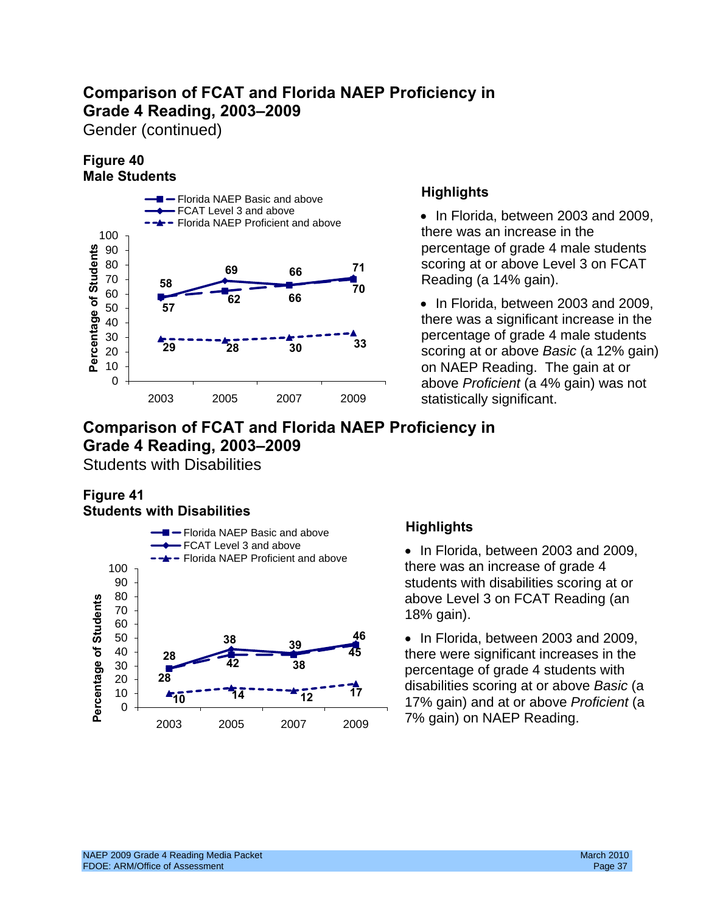Gender (continued)

## **Figure 40 Male Students**



FCAT Level 3 and above **• In Florida, between 2003 and 2009,**<br>
Florida NAEP Proficient and above Reading (a 14% gain).

**29 28 30 33** percentage of grade 4 male students scoring at or above *Basic* (a 12% gain) 0 above *Proficient* (a 4% gain) was not

## **Comparison of FCAT and Florida NAEP Proficiency in Grade 4 Reading, 2003–2009**

Students with Disabilities

## **Figure 41 Students with Disabilities**



there was an increase of grade 4

**28 there** were significant increases in the • In Florida, between 2003 and 2009, percentage of grade 4 students with disabilities scoring at or above *Basic* (a 17% gain) and at or above *Proficient* (a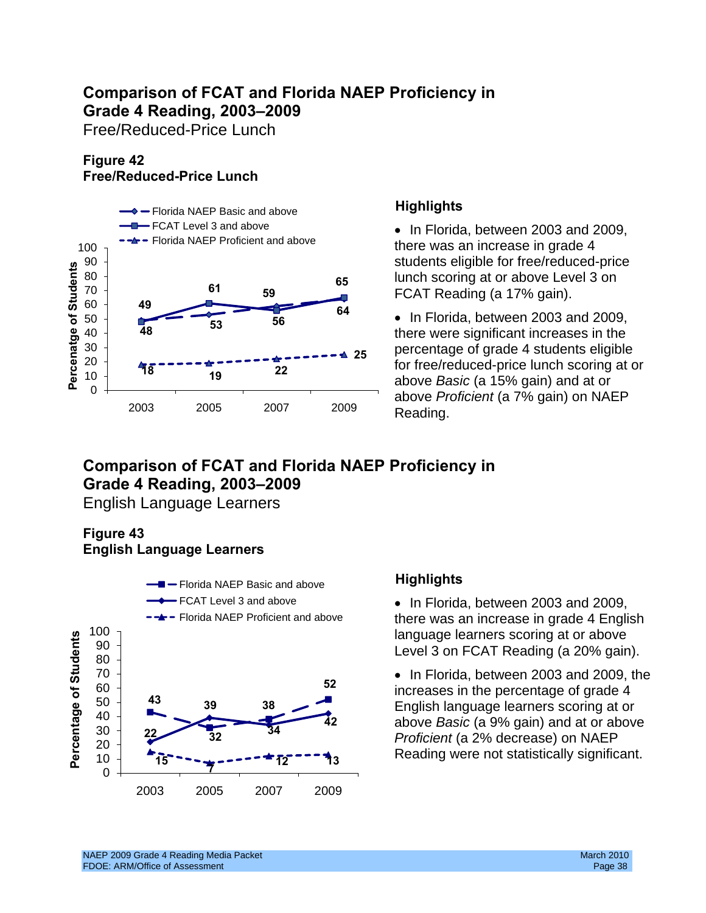Free/Reduced-Price Lunch

## **Figure 42 Free/Reduced-Price Lunch**



## **Highlights**

• In Florida, between 2003 and 2009, there was an increase in grade 4 students eligible for free/reduced-price lunch scoring at or above Level 3 on FCAT Reading (a 17% gain).

• In Florida, between 2003 and 2009, there were significant increases in the **△ 25** Percentage of grade 4 students eligible for free/reduced-price lunch scoring at or above *Basic* (a 15% gain) and at or

## **Comparison of FCAT and Florida NAEP Proficiency in Grade 4 Reading, 2003–2009**

English Language Learners

## **Figure 43 English Language Learners**



## **Highlights**

• In Florida, between 2003 and 2009, there was an increase in grade 4 English language learners scoring at or above Level 3 on FCAT Reading (a 20% gain).

English language learners scoring at or above *Basic* (a 9% gain) and at or above • In Florida, between 2003 and 2009, the increases in the percentage of grade 4 *Proficient* (a 2% decrease) on NAEP Reading were not statistically significant.